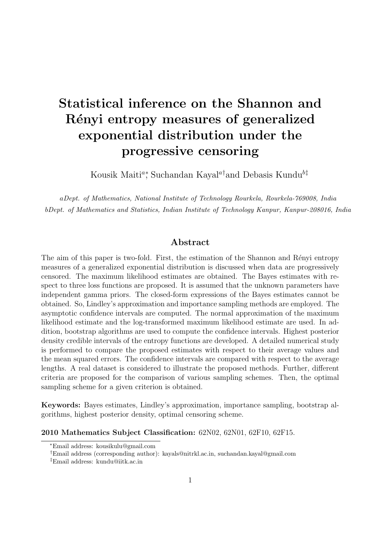# **Statistical inference on the Shannon and R´enyi entropy measures of generalized exponential distribution under the progressive censoring**

Kousik Maiti*<sup>a</sup><sup>∗</sup>* , Suchandan Kayal*<sup>a</sup>†*and Debasis Kundu*<sup>b</sup>‡*

*aDept. of Mathematics, National Institute of Technology Rourkela, Rourkela-769008, India bDept. of Mathematics and Statistics, Indian Institute of Technology Kanpur, Kanpur-208016, India*

#### **Abstract**

The aim of this paper is two-fold. First, the estimation of the Shannon and Rényi entropy measures of a generalized exponential distribution is discussed when data are progressively censored. The maximum likelihood estimates are obtained. The Bayes estimates with respect to three loss functions are proposed. It is assumed that the unknown parameters have independent gamma priors. The closed-form expressions of the Bayes estimates cannot be obtained. So, Lindley's approximation and importance sampling methods are employed. The asymptotic confidence intervals are computed. The normal approximation of the maximum likelihood estimate and the log-transformed maximum likelihood estimate are used. In addition, bootstrap algorithms are used to compute the confidence intervals. Highest posterior density credible intervals of the entropy functions are developed. A detailed numerical study is performed to compare the proposed estimates with respect to their average values and the mean squared errors. The confidence intervals are compared with respect to the average lengths. A real dataset is considered to illustrate the proposed methods. Further, different criteria are proposed for the comparison of various sampling schemes. Then, the optimal sampling scheme for a given criterion is obtained.

**Keywords:** Bayes estimates, Lindley's approximation, importance sampling, bootstrap algorithms, highest posterior density, optimal censoring scheme.

**2010 Mathematics Subject Classification:** 62N02, 62N01, 62F10, 62F15.

*<sup>∗</sup>*Email address: kousikulu@gmail.com

*<sup>†</sup>*Email address (corresponding author): kayals@nitrkl.ac.in, suchandan.kayal@gmail.com

*<sup>‡</sup>*Email address: kundu@iitk.ac.in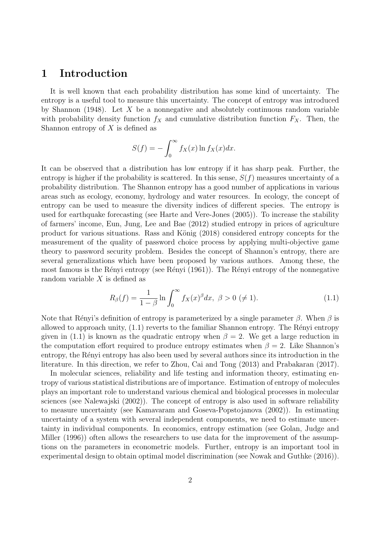## **1 Introduction**

It is well known that each probability distribution has some kind of uncertainty. The entropy is a useful tool to measure this uncertainty. The concept of entropy was introduced by Shannon (1948). Let *X* be a nonnegative and absolutely continuous random variable with probability density function  $f_X$  and cumulative distribution function  $F_X$ . Then, the Shannon entropy of *X* is defined as

$$
S(f) = -\int_0^\infty f_X(x) \ln f_X(x) dx.
$$

It can be observed that a distribution has low entropy if it has sharp peak. Further, the entropy is higher if the probability is scattered. In this sense,  $S(f)$  measures uncertainty of a probability distribution. The Shannon entropy has a good number of applications in various areas such as ecology, economy, hydrology and water resources. In ecology, the concept of entropy can be used to measure the diversity indices of different species. The entropy is used for earthquake forecasting (see Harte and Vere-Jones (2005)). To increase the stability of farmers' income, Eun, Jung, Lee and Bae (2012) studied entropy in prices of agriculture product for various situations. Rass and König (2018) considered entropy concepts for the measurement of the quality of password choice process by applying multi-objective game theory to password security problem. Besides the concept of Shannon's entropy, there are several generalizations which have been proposed by various authors. Among these, the most famous is the Rényi entropy (see Rényi  $(1961)$ ). The Rényi entropy of the nonnegative random variable *X* is defined as

$$
R_{\beta}(f) = \frac{1}{1-\beta} \ln \int_0^{\infty} f_X(x)^{\beta} dx, \ \beta > 0 \ (\neq 1).
$$
 (1.1)

Note that Rényi's definition of entropy is parameterized by a single parameter *β*. When *β* is allowed to approach unity,  $(1.1)$  reverts to the familiar Shannon entropy. The Rényi entropy given in (1.1) is known as the quadratic entropy when  $\beta = 2$ . We get a large reduction in the computation effort required to produce entropy estimates when  $\beta = 2$ . Like Shannon's entropy, the Rényi entropy has also been used by several authors since its introduction in the literature. In this direction, we refer to Zhou, Cai and Tong (2013) and Prabakaran (2017).

In molecular sciences, reliability and life testing and information theory, estimating entropy of various statistical distributions are of importance. Estimation of entropy of molecules plays an important role to understand various chemical and biological processes in molecular sciences (see Nalewajski (2002)). The concept of entropy is also used in software reliability to measure uncertainty (see Kamavaram and Goseva-Popstojanova (2002)). In estimating uncertainty of a system with several independent components, we need to estimate uncertainty in individual components. In economics, entropy estimation (see Golan, Judge and Miller (1996)) often allows the researchers to use data for the improvement of the assumptions on the parameters in econometric models. Further, entropy is an important tool in experimental design to obtain optimal model discrimination (see Nowak and Guthke (2016)).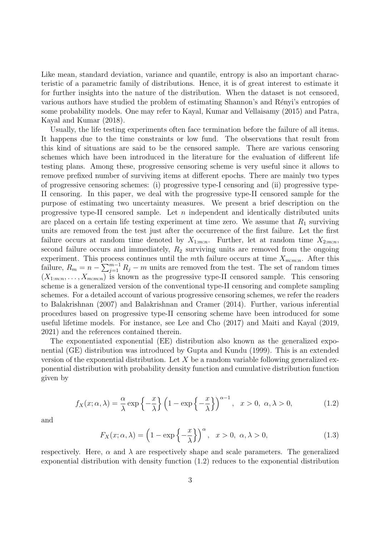Like mean, standard deviation, variance and quantile, entropy is also an important characteristic of a parametric family of distributions. Hence, it is of great interest to estimate it for further insights into the nature of the distribution. When the dataset is not censored, various authors have studied the problem of estimating Shannon's and Rényi's entropies of some probability models. One may refer to Kayal, Kumar and Vellaisamy (2015) and Patra, Kayal and Kumar (2018).

Usually, the life testing experiments often face termination before the failure of all items. It happens due to the time constraints or low fund. The observations that result from this kind of situations are said to be the censored sample. There are various censoring schemes which have been introduced in the literature for the evaluation of different life testing plans. Among these, progressive censoring scheme is very useful since it allows to remove prefixed number of surviving items at different epochs. There are mainly two types of progressive censoring schemes: (i) progressive type-I censoring and (ii) progressive type-II censoring. In this paper, we deal with the progressive type-II censored sample for the purpose of estimating two uncertainty measures. We present a brief description on the progressive type-II censored sample. Let *n* independent and identically distributed units are placed on a certain life testing experiment at time zero. We assume that  $R_1$  surviving units are removed from the test just after the occurrence of the first failure. Let the first failure occurs at random time denoted by  $X_{1:m:n}$ . Further, let at random time  $X_{2:m:n}$ , second failure occurs and immediately,  $R_2$  surviving units are removed from the ongoing experiment. This process continues until the *m*th failure occurs at time  $X_{m:m:n}$ . After this failure,  $R_m = n - \sum_{j=1}^{m-1} R_j - m$  units are removed from the test. The set of random times  $(X_{1:m:n},\ldots,X_{m:m:n})$  is known as the progressive type-II censored sample. This censoring scheme is a generalized version of the conventional type-II censoring and complete sampling schemes. For a detailed account of various progressive censoring schemes, we refer the readers to Balakrishnan (2007) and Balakrishnan and Cramer (2014). Further, various inferential procedures based on progressive type-II censoring scheme have been introduced for some useful lifetime models. For instance, see Lee and Cho (2017) and Maiti and Kayal (2019, 2021) and the references contained therein.

The exponentiated exponential (EE) distribution also known as the generalized exponential (GE) distribution was introduced by Gupta and Kundu (1999). This is an extended version of the exponential distribution. Let *X* be a random variable following generalized exponential distribution with probability density function and cumulative distribution function given by

$$
f_X(x; \alpha, \lambda) = \frac{\alpha}{\lambda} \exp\left\{-\frac{x}{\lambda}\right\} \left(1 - \exp\left\{-\frac{x}{\lambda}\right\}\right)^{\alpha - 1}, \quad x > 0, \ \alpha, \lambda > 0,\tag{1.2}
$$

and

$$
F_X(x; \alpha, \lambda) = \left(1 - \exp\left\{-\frac{x}{\lambda}\right\}\right)^{\alpha}, \quad x > 0, \ \alpha, \lambda > 0,
$$
\n(1.3)

respectively. Here,  $\alpha$  and  $\lambda$  are respectively shape and scale parameters. The generalized exponential distribution with density function (1*.*2) reduces to the exponential distribution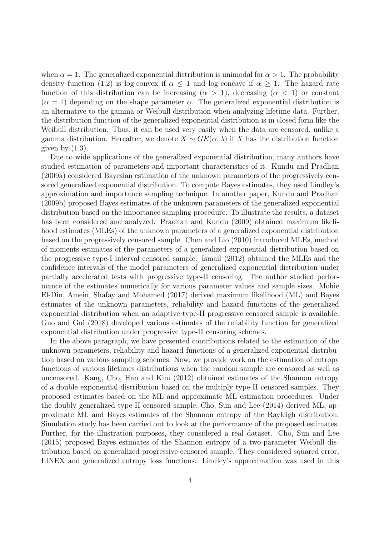when  $\alpha = 1$ . The generalized exponential distribution is unimodal for  $\alpha > 1$ . The probability density function (1.2) is log-convex if  $\alpha \leq 1$  and log-concave if  $\alpha \geq 1$ . The hazard rate function of this distribution can be increasing  $(\alpha > 1)$ , decreasing  $(\alpha < 1)$  or constant  $(\alpha = 1)$  depending on the shape parameter  $\alpha$ . The generalized exponential distribution is an alternative to the gamma or Weibull distribution when analyzing lifetime data. Further, the distribution function of the generalized exponential distribution is in closed form like the Weibull distribution. Thus, it can be used very easily when the data are censored, unlike a gamma distribution. Hereafter, we denote  $X \sim GE(\alpha, \lambda)$  if X has the distribution function given by (1*.*3).

Due to wide applications of the generalized exponential distribution, many authors have studied estimation of parameters and important characteristics of it. Kundu and Pradhan (2009a) considered Bayesian estimation of the unknown parameters of the progressively censored generalized exponential distribution. To compute Bayes estimates, they used Lindley's approximation and importance sampling technique. In another paper, Kundu and Pradhan (2009b) proposed Bayes estimates of the unknown parameters of the generalized exponential distribution based on the importance sampling procedure. To illustrate the results, a dataset has been considered and analyzed. Pradhan and Kundu (2009) obtained maximum likelihood estimates (MLEs) of the unknown parameters of a generalized exponential distribution based on the progressively censored sample. Chen and Lio (2010) introduced MLEs, method of moments estimates of the parameters of a generalized exponential distribution based on the progressive type-I interval censored sample. Ismail (2012) obtained the MLEs and the confidence intervals of the model parameters of generalized exponential distribution under partially accelerated tests with progressive type-II censoring. The author studied performance of the estimates numerically for various parameter values and sample sizes. Mohie El-Din, Amein, Shafay and Mohamed (2017) derived maximum likelihood (ML) and Bayes estimates of the unknown parameters, reliability and hazard functions of the generalized exponential distribution when an adaptive type-II progressive censored sample is available. Guo and Gui (2018) developed various estimates of the reliability function for generalized exponential distribution under progressive type-II censoring schemes.

In the above paragraph, we have presented contributions related to the estimation of the unknown parameters, reliability and hazard functions of a generalized exponential distribution based on various sampling schemes. Now, we provide work on the estimation of entropy functions of various lifetimes distributions when the random sample are censored as well as uncensored. Kang, Cho, Han and Kim (2012) obtained estimates of the Shannon entropy of a double exponential distribution based on the multiply type-II censored samples. They proposed estimates based on the ML and approximate ML estimation procedures. Under the doubly generalized type-II censored sample, Cho, Sun and Lee (2014) derived ML, approximate ML and Bayes estimates of the Shannon entropy of the Rayleigh distribution. Simulation study has been carried out to look at the performance of the proposed estimates. Further, for the illustration purposes, they considered a real dataset. Cho, Sun and Lee (2015) proposed Bayes estimates of the Shannon entropy of a two-parameter Weibull distribution based on generalized progressive censored sample. They considered squared error, LINEX and generalized entropy loss functions. Lindley's approximation was used in this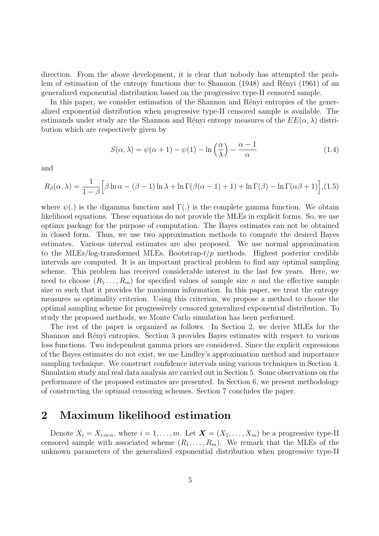direction. From the above development, it is clear that nobody has attempted the problem of estimation of the entropy functions due to Shannon  $(1948)$  and Rényi  $(1961)$  of an generalized exponential distribution based on the progressive type-II censored sample.

In this paper, we consider estimation of the Shannon and Rényi entropies of the generalized exponential distribution when progressive type-II censored sample is available. The estimands under study are the Shannon and Rényi entropy measures of the  $EE(\alpha, \lambda)$  distribution which are respectively given by

$$
S(\alpha, \lambda) = \psi(\alpha + 1) - \psi(1) - \ln\left(\frac{\alpha}{\lambda}\right) - \frac{\alpha - 1}{\alpha} \tag{1.4}
$$

and

$$
R_{\beta}(\alpha,\lambda) = \frac{1}{1-\beta} \Big[ \beta \ln \alpha - (\beta - 1) \ln \lambda + \ln \Gamma(\beta(\alpha - 1) + 1) + \ln \Gamma(\beta) - \ln \Gamma(\alpha \beta + 1) \Big], (1.5)
$$

where  $\psi(.)$  is the digamma function and  $\Gamma(.)$  is the complete gamma function. We obtain likelihood equations. These equations do not provide the MLEs in explicit forms. So, we use optimx package for the purpose of computation. The Bayes estimates can not be obtained in closed form. Thus, we use two approximation methods to compute the desired Bayes estimates. Various interval estimates are also proposed. We use normal approximation to the MLEs/log-transformed MLEs, Bootstrap-*t/p* methods. Highest posterior credible intervals are computed. It is an important practical problem to find any optimal sampling scheme. This problem has received considerable interest in the last few years. Here, we need to choose  $(R_1 \ldots, R_m)$  for specified values of sample size *n* and the effective sample size *m* such that it provides the maximum information. In this paper, we treat the entropy measures as optimality criterion. Using this criterion, we propose a method to choose the optimal sampling scheme for progressively censored generalized exponential distribution. To study the proposed methods, we Monte Carlo simulation has been performed.

The rest of the paper is organized as follows. In Section 2, we derive MLEs for the Shannon and Rényi entropies. Section 3 provides Bayes estimates with respect to various loss functions. Two independent gamma priors are considered. Since the explicit expressions of the Bayes estimates do not exist, we use Lindley's approximation method and importance sampling technique. We construct confidence intervals using various techniques in Section 4. Simulation study and real data analysis are carried out in Section 5. Some observations on the performance of the proposed estimates are presented. In Section 6, we present methodology of constructing the optimal censoring schemes. Section 7 concludes the paper.

## **2 Maximum likelihood estimation**

Denote  $X_i = X_{i:m:n}$ , where  $i = 1, \ldots, m$ . Let  $\boldsymbol{X} = (X_1, \ldots, X_m)$  be a progressive type-II censored sample with associated scheme  $(R_1, \ldots, R_m)$ . We remark that the MLEs of the unknown parameters of the generalized exponential distribution when progressive type-II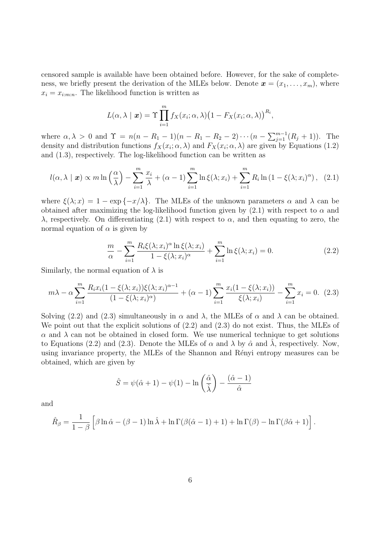censored sample is available have been obtained before. However, for the sake of completeness, we briefly present the derivation of the MLEs below. Denote  $\mathbf{x} = (x_1, \ldots, x_m)$ , where  $x_i = x_{i:m:n}$ . The likelihood function is written as

$$
L(\alpha, \lambda \mid \boldsymbol{x}) = \Upsilon \prod_{i=1}^{m} f_X(x_i; \alpha, \lambda) (1 - F_X(x_i; \alpha, \lambda))^{R_i},
$$

where  $\alpha, \lambda > 0$  and  $\Upsilon = n(n - R_1 - 1)(n - R_1 - R_2 - 2) \cdots (n - \sum_{j=1}^{m-1} (R_j + 1))$ . The density and distribution functions  $f_X(x_i; \alpha, \lambda)$  and  $F_X(x_i; \alpha, \lambda)$  are given by Equations (1.2) and (1*.*3), respectively. The log-likelihood function can be written as

$$
l(\alpha, \lambda \mid \boldsymbol{x}) \propto m \ln \left(\frac{\alpha}{\lambda}\right) - \sum_{i=1}^{m} \frac{x_i}{\lambda} + (\alpha - 1) \sum_{i=1}^{m} \ln \xi(\lambda; x_i) + \sum_{i=1}^{m} R_i \ln \left(1 - \xi(\lambda; x_i)^{\alpha}\right), \quad (2.1)
$$

where  $\xi(\lambda; x) = 1 - \exp\{-x/\lambda\}$ . The MLEs of the unknown parameters  $\alpha$  and  $\lambda$  can be obtained after maximizing the log-likelihood function given by  $(2.1)$  with respect to  $\alpha$  and *λ*, respectively. On differentiating (2*.*1) with respect to *α*, and then equating to zero, the normal equation of  $\alpha$  is given by

$$
\frac{m}{\alpha} - \sum_{i=1}^{m} \frac{R_i \xi(\lambda; x_i)^{\alpha} \ln \xi(\lambda; x_i)}{1 - \xi(\lambda; x_i)^{\alpha}} + \sum_{i=1}^{m} \ln \xi(\lambda; x_i) = 0.
$$
\n(2.2)

Similarly, the normal equation of  $\lambda$  is

$$
m\lambda - \alpha \sum_{i=1}^{m} \frac{R_i x_i (1 - \xi(\lambda; x_i)) \xi(\lambda; x_i)^{\alpha - 1}}{(1 - \xi(\lambda; x_i)^{\alpha})} + (\alpha - 1) \sum_{i=1}^{m} \frac{x_i (1 - \xi(\lambda; x_i))}{\xi(\lambda; x_i)} - \sum_{i=1}^{m} x_i = 0.
$$
 (2.3)

Solving (2.2) and (2.3) simultaneously in  $\alpha$  and  $\lambda$ , the MLEs of  $\alpha$  and  $\lambda$  can be obtained. We point out that the explicit solutions of (2*.*2) and (2*.*3) do not exist. Thus, the MLEs of  $α$  and  $λ$  can not be obtained in closed form. We use numerical technique to get solutions to Equations (2.2) and (2.3). Denote the MLEs of  $\alpha$  and  $\lambda$  by  $\hat{\alpha}$  and  $\lambda$ , respectively. Now, using invariance property, the MLEs of the Shannon and Rényi entropy measures can be obtained, which are given by

$$
\hat{S} = \psi(\hat{\alpha} + 1) - \psi(1) - \ln\left(\frac{\hat{\alpha}}{\hat{\lambda}}\right) - \frac{(\hat{\alpha} - 1)}{\hat{\alpha}}
$$

and

$$
\hat{R}_{\beta} = \frac{1}{1-\beta} \left[ \beta \ln \hat{\alpha} - (\beta - 1) \ln \hat{\lambda} + \ln \Gamma(\beta(\hat{\alpha} - 1) + 1) + \ln \Gamma(\beta) - \ln \Gamma(\beta \hat{\alpha} + 1) \right].
$$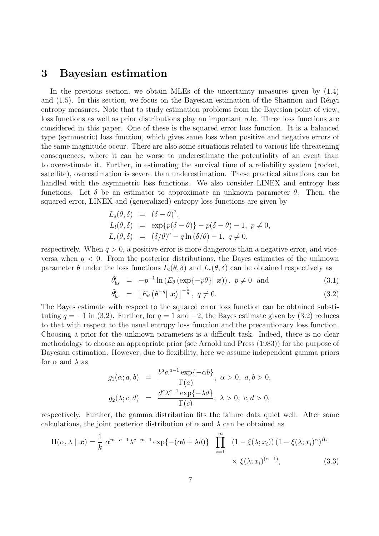## **3 Bayesian estimation**

In the previous section, we obtain MLEs of the uncertainty measures given by (1*.*4) and  $(1.5)$ . In this section, we focus on the Bayesian estimation of the Shannon and Rényi entropy measures. Note that to study estimation problems from the Bayesian point of view, loss functions as well as prior distributions play an important role. Three loss functions are considered in this paper. One of these is the squared error loss function. It is a balanced type (symmetric) loss function, which gives same loss when positive and negative errors of the same magnitude occur. There are also some situations related to various life-threatening consequences, where it can be worse to underestimate the potentiality of an event than to overestimate it. Further, in estimating the survival time of a reliability system (rocket, satellite), overestimation is severe than underestimation. These practical situations can be handled with the asymmetric loss functions. We also consider LINEX and entropy loss functions. Let  $\delta$  be an estimator to approximate an unknown parameter  $\theta$ . Then, the squared error, LINEX and (generalized) entropy loss functions are given by

$$
L_s(\theta, \delta) = (\delta - \theta)^2,
$$
  
\n
$$
L_l(\theta, \delta) = \exp\{p(\delta - \theta)\} - p(\delta - \theta) - 1, p \neq 0,
$$
  
\n
$$
L_e(\theta, \delta) = (\delta/\theta)^q - q \ln(\delta/\theta) - 1, q \neq 0,
$$

respectively. When  $q > 0$ , a positive error is more dangerous than a negative error, and viceversa when  $q < 0$ . From the posterior distributions, the Bayes estimates of the unknown parameter  $\theta$  under the loss functions  $L_l(\theta, \delta)$  and  $L_e(\theta, \delta)$  can be obtained respectively as

$$
\hat{\theta}_{bs}^{l} = -p^{-1} \ln \left( E_{\theta} \left( \exp\{-p\theta\} | \mathbf{x} \right) \right), \ p \neq 0 \ \text{and} \tag{3.1}
$$

$$
\hat{\theta}_{bs}^e = \left[ E_\theta \left( \theta^{-q} \vert \mathbf{x} \right) \right]^{-\frac{1}{q}}, \ q \neq 0. \tag{3.2}
$$

The Bayes estimate with respect to the squared error loss function can be obtained substituting  $q = -1$  in (3.2). Further, for  $q = 1$  and  $-2$ , the Bayes estimate given by (3.2) reduces to that with respect to the usual entropy loss function and the precautionary loss function. Choosing a prior for the unknown parameters is a difficult task. Indeed, there is no clear methodology to choose an appropriate prior (see Arnold and Press (1983)) for the purpose of Bayesian estimation. However, due to flexibility, here we assume independent gamma priors for  $\alpha$  and  $\lambda$  as

$$
g_1(\alpha; a, b) = \frac{b^a \alpha^{a-1} \exp\{-\alpha b\}}{\Gamma(a)}, \ \alpha > 0, \ a, b > 0,
$$
  

$$
g_2(\lambda; c, d) = \frac{d^c \lambda^{c-1} \exp\{-\lambda d\}}{\Gamma(c)}, \ \lambda > 0, \ c, d > 0,
$$

respectively. Further, the gamma distribution fits the failure data quiet well. After some calculations, the joint posterior distribution of  $\alpha$  and  $\lambda$  can be obtained as

$$
\Pi(\alpha, \lambda \mid \boldsymbol{x}) = \frac{1}{k} \alpha^{m+a-1} \lambda^{c-m-1} \exp\{-(\alpha b + \lambda d)\} \prod_{i=1}^{m} (1 - \xi(\lambda; x_i)) (1 - \xi(\lambda; x_i)^{\alpha})^{R_i} \times \xi(\lambda; x_i)^{(\alpha - 1)},
$$
\n(3.3)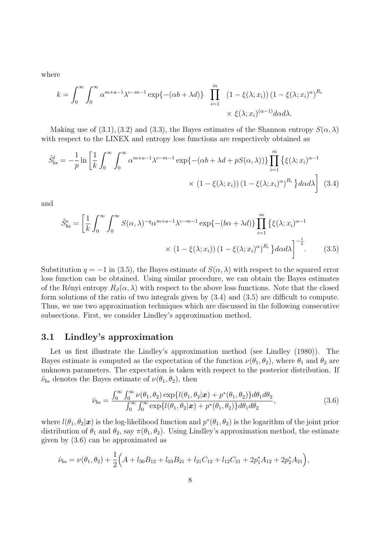where

$$
k = \int_0^\infty \int_0^\infty \alpha^{m+a-1} \lambda^{c-m-1} \exp\{-(\alpha b + \lambda d)\} \prod_{i=1}^m (1 - \xi(\lambda; x_i)) (1 - \xi(\lambda; x_i)^\alpha)^{R_i}
$$

$$
\times \xi(\lambda; x_i)^{(\alpha - 1)} d\alpha d\lambda.
$$

Making use of  $(3.1)$ ,  $(3.2)$  and  $(3.3)$ , the Bayes estimates of the Shannon entropy  $S(\alpha, \lambda)$ with respect to the LINEX and entropy loss functions are respectively obtained as

$$
\hat{S}_{bs}^{l} = -\frac{1}{p} \ln \left[ \frac{1}{k} \int_{0}^{\infty} \int_{0}^{\infty} \alpha^{m+a-1} \lambda^{c-m-1} \exp\{-(\alpha b + \lambda d + pS(\alpha, \lambda))\} \prod_{i=1}^{m} \left\{ \xi(\lambda; x_{i})^{\alpha-1} \times (1 - \xi(\lambda; x_{i})) (1 - \xi(\lambda; x_{i})^{\alpha})^{R_{i}} \right\} d\alpha d\lambda \right]
$$
(3.4)

and

$$
\hat{S}_{bs}^{e} = \left[\frac{1}{k} \int_{0}^{\infty} \int_{0}^{\infty} S(\alpha, \lambda)^{-q} \alpha^{m+a-1} \lambda^{c-m-1} \exp\left\{-(b\alpha + \lambda d)\right\} \prod_{i=1}^{m} \left\{\xi(\lambda; x_{i})^{\alpha-1} \times (1 - \xi(\lambda; x_{i})) (1 - \xi(\lambda; x_{i})^{\alpha})^{R_{i}}\right\} d\alpha d\lambda\right]^{-\frac{1}{q}}.
$$
\n(3.5)

Substitution  $q = -1$  in (3.5), the Bayes estimate of  $S(\alpha, \lambda)$  with respect to the squared error loss function can be obtained. Using similar procedure, we can obtain the Bayes estimates of the Rényi entropy  $R_\beta(\alpha, \lambda)$  with respect to the above loss functions. Note that the closed form solutions of the ratio of two integrals given by (3*.*4) and (3*.*5) are difficult to compute. Thus, we use two approximation techniques which are discussed in the following consecutive subsections. First, we consider Lindley's approximation method.

#### **3.1 Lindley's approximation**

Let us first illustrate the Lindley's approximation method (see Lindley (1980)). The Bayes estimate is computed as the expectation of the function  $\nu(\theta_1, \theta_2)$ , where  $\theta_1$  and  $\theta_2$  are unknown parameters. The expectation is taken with respect to the posterior distribution. If  $\hat{\nu}_{bs}$  denotes the Bayes estimate of  $\nu(\theta_1, \theta_2)$ , then

$$
\hat{\nu}_{bs} = \frac{\int_0^\infty \int_0^\infty \nu(\theta_1, \theta_2) \exp\{l(\theta_1, \theta_2 | \mathbf{x}) + p^*(\theta_1, \theta_2)\} d\theta_1 d\theta_2}{\int_0^\infty \int_0^\infty \exp\{l(\theta_1, \theta_2 | \mathbf{x}) + p^*(\theta_1, \theta_2)\} d\theta_1 d\theta_2},\tag{3.6}
$$

where  $l(\theta_1, \theta_2 | \bm{x})$  is the log-likelihood function and  $p^*(\theta_1, \theta_2)$  is the logarithm of the joint prior distribution of  $\theta_1$  and  $\theta_2$ , say  $\pi(\theta_1, \theta_2)$ . Using Lindley's approximation method, the estimate given by (3*.*6) can be approximated as

$$
\hat{\nu}_{bs} = \nu(\theta_1, \theta_2) + \frac{1}{2} \Big( A + l_{30}B_{12} + l_{03}B_{21} + l_{21}C_{12} + l_{12}C_{21} + 2p_1^*A_{12} + 2p_2^*A_{21} \Big),
$$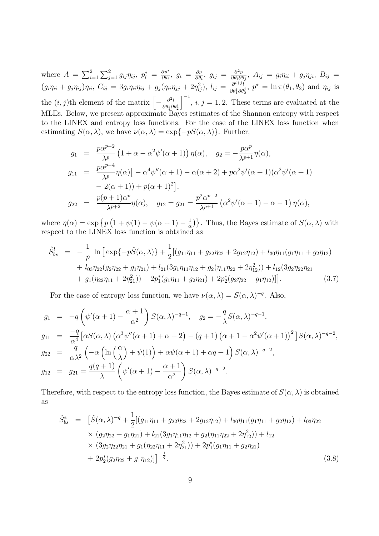where  $A = \sum_{i=1}^{2} \sum_{j=1}^{2} g_{ij} \eta_{ij}, p_i^* = \frac{\partial p^*}{\partial \theta_i}$  $\frac{\partial p^*}{\partial \theta_i}, \ g_i = \frac{\partial \nu}{\partial \theta_i}$  $\frac{\partial \nu}{\partial \theta_i}$ *,*  $g_{ij} = \frac{\partial^2 \nu}{\partial \theta_i \partial \theta_j}$  $\frac{\partial^2 \nu}{\partial \theta_i \partial \theta_j}, \ A_{ij} = g_i \eta_{ii} + g_j \eta_{ji}, \ B_{ij} =$  $(g_i\eta_{ii}+g_j\eta_{ij})\eta_{ii},\ C_{ij}=3g_i\eta_{ii}\eta_{ij}+g_j(\eta_{ii}\eta_{jj}+2\eta_{ij}^2),\ l_{ij}=\frac{\partial^{i+j}l}{\partial\theta^{i}\partial\theta}$  $\frac{\partial^{i+j} l}{\partial \theta_{i}^{i} \partial \theta_{2}^{j}}$ ,  $p^{*} = \ln \pi(\theta_{1}, \theta_{2})$  and  $\eta_{ij}$  is the  $(i, j)$ <sup>th</sup> element of the matrix  $\left[ -\frac{\partial^2 l}{\partial q_i} \right]$  $\overline{\partial \theta_1^i \partial \theta_2^j}$  $\int_{0}^{-1}$ , *i*, *j* = 1, 2. These terms are evaluated at the MLEs. Below, we present approximate Bayes estimates of the Shannon entropy with respect to the LINEX and entropy loss functions. For the case of the LINEX loss function when estimating  $S(\alpha, \lambda)$ , we have  $\nu(\alpha, \lambda) = \exp\{-pS(\alpha, \lambda)\}\$ . Further,

$$
g_1 = \frac{p\alpha^{p-2}}{\lambda^p} \left(1 + \alpha - \alpha^2 \psi'(\alpha + 1)\right) \eta(\alpha), \quad g_2 = -\frac{p\alpha^p}{\lambda^{p+1}} \eta(\alpha),
$$
  
\n
$$
g_{11} = \frac{p\alpha^{p-4}}{\lambda^p} \eta(\alpha) \left[-\alpha^4 \psi''(\alpha + 1) - \alpha(\alpha + 2) + p\alpha^2 \psi'(\alpha + 1)(\alpha^2 \psi'(\alpha + 1))\right.\n- 2(\alpha + 1)) + p(\alpha + 1)^2\right],
$$
  
\n
$$
g_{22} = \frac{p(p+1)\alpha^p}{\lambda^{p+2}} \eta(\alpha), \quad g_{12} = g_{21} = \frac{p^2 \alpha^{p-2}}{\lambda^{p+1}} \left(\alpha^2 \psi'(\alpha + 1) - \alpha - 1\right) \eta(\alpha),
$$

where  $\eta(\alpha) = \exp \{ p(1 + \psi(1) - \psi(\alpha + 1) - \frac{1}{\alpha}) \}$  $\frac{1}{\alpha}$ }. Thus, the Bayes estimate of *S*( $\alpha$ ,  $\lambda$ ) with respect to the LINEX loss function is obtained as

$$
\hat{S}_{bs}^{l} = -\frac{1}{p} \ln \left[ \exp\{-p\hat{S}(\alpha,\lambda)\} + \frac{1}{2} [(g_{11}\eta_{11} + g_{22}\eta_{22} + 2g_{12}\eta_{12}) + l_{30}\eta_{11}(g_{1}\eta_{11} + g_{2}\eta_{12})
$$
  
+  $l_{03}\eta_{22}(g_{2}\eta_{22} + g_{1}\eta_{21}) + l_{21}(3g_{1}\eta_{11}\eta_{12} + g_{2}(\eta_{11}\eta_{22} + 2\eta_{12}^{2})) + l_{12}(3g_{2}\eta_{22}\eta_{21}$   
+  $g_{1}(\eta_{22}\eta_{11} + 2\eta_{21}^{2})) + 2p_{1}^{*}(g_{1}\eta_{11} + g_{2}\eta_{21}) + 2p_{2}^{*}(g_{2}\eta_{22} + g_{1}\eta_{12})]$  (3.7)

For the case of entropy loss function, we have  $\nu(\alpha, \lambda) = S(\alpha, \lambda)^{-q}$ . Also,

$$
g_1 = -q \left( \psi'(\alpha+1) - \frac{\alpha+1}{\alpha^2} \right) S(\alpha, \lambda)^{-q-1}, \quad g_2 = -\frac{q}{\lambda} S(\alpha, \lambda)^{-q-1},
$$
  
\n
$$
g_{11} = \frac{-q}{\alpha^4} \left[ \alpha S(\alpha, \lambda) \left( \alpha^3 \psi''(\alpha+1) + \alpha + 2 \right) - (q+1) \left( \alpha + 1 - \alpha^2 \psi'(\alpha+1) \right)^2 \right] S(\alpha, \lambda)^{-q-2},
$$
  
\n
$$
g_{22} = \frac{q}{\alpha \lambda^2} \left( -\alpha \left( \ln \left( \frac{\alpha}{\lambda} \right) + \psi(1) \right) + \alpha \psi(\alpha+1) + \alpha q + 1 \right) S(\alpha, \lambda)^{-q-2},
$$
  
\n
$$
g_{12} = g_{21} = \frac{q(q+1)}{\lambda} \left( \psi'(\alpha+1) - \frac{\alpha+1}{\alpha^2} \right) S(\alpha, \lambda)^{-q-2}.
$$

Therefore, with respect to the entropy loss function, the Bayes estimate of  $S(\alpha, \lambda)$  is obtained as

$$
\hat{S}_{bs}^{e} = \left[ \hat{S}(\alpha, \lambda)^{-q} + \frac{1}{2} [(g_{11}\eta_{11} + g_{22}\eta_{22} + 2g_{12}\eta_{12}) + l_{30}\eta_{11}(g_{1}\eta_{11} + g_{2}\eta_{12}) + l_{03}\eta_{22} \right] \times (g_{2}\eta_{22} + g_{1}\eta_{21}) + l_{21}(3g_{1}\eta_{11}\eta_{12} + g_{2}(\eta_{11}\eta_{22} + 2\eta_{12}^{2})) + l_{12} \times (3g_{2}\eta_{22}\eta_{21} + g_{1}(\eta_{22}\eta_{11} + 2\eta_{21}^{2})) + 2p_{1}^{*}(g_{1}\eta_{11} + g_{2}\eta_{21}) + 2p_{2}^{*}(g_{2}\eta_{22} + g_{1}\eta_{12}) \right]^{-\frac{1}{q}}.
$$
\n(3.8)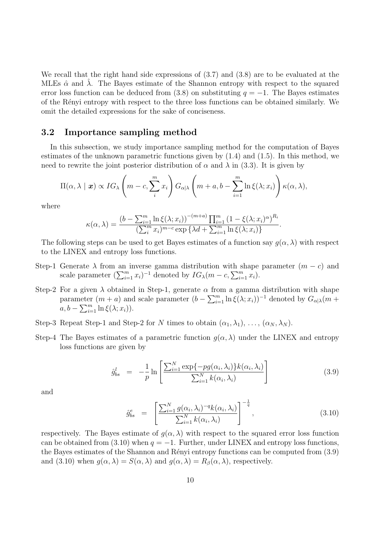We recall that the right hand side expressions of (3*.*7) and (3*.*8) are to be evaluated at the MLEs  $\hat{\alpha}$  and  $\lambda$ . The Bayes estimate of the Shannon entropy with respect to the squared error loss function can be deduced from  $(3.8)$  on substituting  $q = -1$ . The Bayes estimates of the R´enyi entropy with respect to the three loss functions can be obtained similarly. We omit the detailed expressions for the sake of conciseness.

#### **3.2 Importance sampling method**

In this subsection, we study importance sampling method for the computation of Bayes estimates of the unknown parametric functions given by (1*.*4) and (1*.*5). In this method, we need to rewrite the joint posterior distribution of  $\alpha$  and  $\lambda$  in (3.3). It is given by

$$
\Pi(\alpha,\lambda \mid \boldsymbol{x}) \propto IG_{\lambda}\left(m-c,\sum_{i}^{m}x_{i}\right)G_{\alpha|\lambda}\left(m+a,b-\sum_{i=1}^{m}\ln\xi(\lambda;x_{i})\right)\kappa(\alpha,\lambda),
$$

where

$$
\kappa(\alpha, \lambda) = \frac{(b - \sum_{i=1}^{m} \ln \xi(\lambda; x_i))^{-(m+a)} \prod_{i=1}^{m} (1 - \xi(\lambda; x_i)^{\alpha})^{R_i}}{(\sum_{i=1}^{m} x_i)^{m-c} \exp \{ \lambda d + \sum_{i=1}^{m} \ln \xi(\lambda; x_i) \}}
$$

The following steps can be used to get Bayes estimates of a function say  $g(\alpha, \lambda)$  with respect to the LINEX and entropy loss functions.

- Step-1 Generate  $\lambda$  from an inverse gamma distribution with shape parameter  $(m c)$  and scale parameter  $(\sum_{i=1}^{m} x_i)^{-1}$  denoted by  $IG_{\lambda}(m-c, \sum_{i=1}^{m} x_i)$ .
- Step-2 For a given  $\lambda$  obtained in Step-1, generate  $\alpha$  from a gamma distribution with shape parameter  $(m + a)$  and scale parameter  $(b - \sum_{i=1}^{m} \ln \xi(\lambda; x_i))^{-1}$  denoted by  $G_{\alpha|\lambda}(m + a)$  $a, b - \sum_{i=1}^{m} \ln \xi(\lambda; x_i)).$
- Step-3 Repeat Step-1 and Step-2 for *N* times to obtain  $(\alpha_1, \lambda_1), \ldots, (\alpha_N, \lambda_N)$ .
- Step-4 The Bayes estimates of a parametric function  $q(\alpha, \lambda)$  under the LINEX and entropy loss functions are given by

$$
\hat{g}_{bs}^l = -\frac{1}{p} \ln \left[ \frac{\sum_{i=1}^N \exp\{-pg(\alpha_i, \lambda_i)\} k(\alpha_i, \lambda_i)}{\sum_{i=1}^N k(\alpha_i, \lambda_i)} \right]
$$
(3.9)

*.*

and

$$
\hat{g}_{bs}^e = \left[ \frac{\sum_{i=1}^N g(\alpha_i, \lambda_i)^{-q} k(\alpha_i, \lambda_i)}{\sum_{i=1}^N k(\alpha_i, \lambda_i)} \right]^{-\frac{1}{q}}, \qquad (3.10)
$$

respectively. The Bayes estimate of  $g(\alpha, \lambda)$  with respect to the squared error loss function can be obtained from (3.10) when  $q = -1$ . Further, under LINEX and entropy loss functions, the Bayes estimates of the Shannon and Rényi entropy functions can be computed from  $(3.9)$ and (3.10) when  $g(\alpha, \lambda) = S(\alpha, \lambda)$  and  $g(\alpha, \lambda) = R_\beta(\alpha, \lambda)$ , respectively.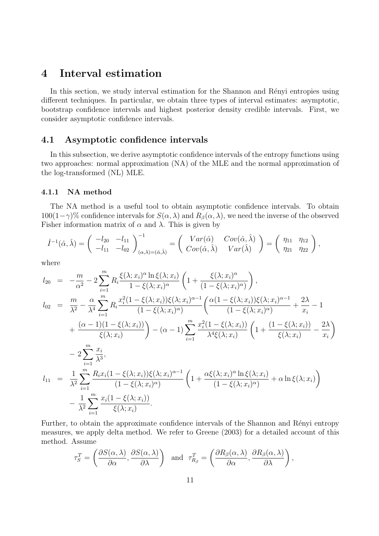## **4 Interval estimation**

In this section, we study interval estimation for the Shannon and Rényi entropies using different techniques. In particular, we obtain three types of interval estimates: asymptotic, bootstrap confidence intervals and highest posterior density credible intervals. First, we consider asymptotic confidence intervals.

### **4.1 Asymptotic confidence intervals**

In this subsection, we derive asymptotic confidence intervals of the entropy functions using two approaches: normal approximation (NA) of the MLE and the normal approximation of the log-transformed (NL) MLE.

#### **4.1.1 NA method**

The NA method is a useful tool to obtain asymptotic confidence intervals. To obtain 100(1*−γ*)% confidence intervals for *S*(*α, λ*) and *Rβ*(*α, λ*), we need the inverse of the observed Fisher information matrix of  $\alpha$  and  $\lambda$ . This is given by

$$
\hat{I}^{-1}(\hat{\alpha},\hat{\lambda}) = \begin{pmatrix} -l_{20} & -l_{11} \\ -l_{11} & -l_{02} \end{pmatrix}_{(\alpha,\lambda)=(\hat{\alpha},\hat{\lambda})}^{-1} = \begin{pmatrix} Var(\hat{\alpha}) & Cov(\hat{\alpha},\hat{\lambda}) \\ Cov(\hat{\alpha},\hat{\lambda}) & Var(\hat{\lambda}) \end{pmatrix} = \begin{pmatrix} \eta_{11} & \eta_{12} \\ \eta_{21} & \eta_{22} \end{pmatrix},
$$

where

$$
l_{20} = -\frac{m}{\alpha^2} - 2 \sum_{i=1}^{m} R_i \frac{\xi(\lambda; x_i)^{\alpha} \ln \xi(\lambda; x_i)}{1 - \xi(\lambda; x_i)^{\alpha}} \left( 1 + \frac{\xi(\lambda; x_i)^{\alpha}}{(1 - \xi(\lambda; x_i)^{\alpha})} \right),
$$
  
\n
$$
l_{02} = \frac{m}{\lambda^2} - \frac{\alpha}{\lambda^4} \sum_{i=1}^{m} R_i \frac{x_i^2 (1 - \xi(\lambda; x_i))^{\xi(\lambda; x_i)^{\alpha - 1}}}{(1 - \xi(\lambda; x_i)^{\alpha})} \left( \frac{\alpha (1 - \xi(\lambda; x_i))^{\xi(\lambda; x_i)^{\alpha - 1}}}{(1 - \xi(\lambda; x_i)^{\alpha})} + \frac{2\lambda}{x_i} - 1 + \frac{(\alpha - 1)(1 - \xi(\lambda; x_i))}{\xi(\lambda; x_i)} \right) - (\alpha - 1) \sum_{i=1}^{m} \frac{x_i^2 (1 - \xi(\lambda; x_i))}{\lambda^4 \xi(\lambda; x_i)} \left( 1 + \frac{(1 - \xi(\lambda; x_i))}{\xi(\lambda; x_i)} - \frac{2\lambda}{x_i} \right) - 2 \sum_{i=1}^{m} \frac{x_i}{\lambda^3},
$$
  
\n
$$
l_{11} = \frac{1}{\lambda^2} \sum_{i=1}^{m} \frac{R_i x_i (1 - \xi(\lambda; x_i)) \xi(\lambda; x_i)^{\alpha - 1}}{(1 - \xi(\lambda; x_i)^{\alpha})} \left( 1 + \frac{\alpha \xi(\lambda; x_i)^{\alpha} \ln \xi(\lambda; x_i)}{(1 - \xi(\lambda; x_i)^{\alpha})} + \alpha \ln \xi(\lambda; x_i) \right) - \frac{1}{\lambda^2} \sum_{i=1}^{m} \frac{x_i (1 - \xi(\lambda; x_i))}{\xi(\lambda; x_i)}.
$$

Further, to obtain the approximate confidence intervals of the Shannon and Rényi entropy measures, we apply delta method. We refer to Greene (2003) for a detailed account of this method. Assume

$$
\tau_S^T = \left(\frac{\partial S(\alpha, \lambda)}{\partial \alpha}, \frac{\partial S(\alpha, \lambda)}{\partial \lambda}\right) \text{ and } \tau_{R_\beta}^T = \left(\frac{\partial R_\beta(\alpha, \lambda)}{\partial \alpha}, \frac{\partial R_\beta(\alpha, \lambda)}{\partial \lambda}\right),
$$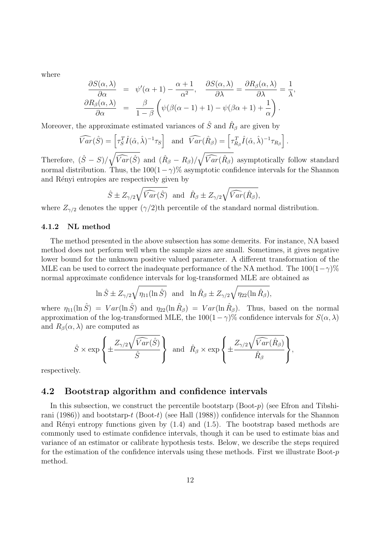where

$$
\frac{\partial S(\alpha,\lambda)}{\partial \alpha} = \psi'(\alpha+1) - \frac{\alpha+1}{\alpha^2}, \quad \frac{\partial S(\alpha,\lambda)}{\partial \lambda} = \frac{\partial R_{\beta}(\alpha,\lambda)}{\partial \lambda} = \frac{1}{\lambda},
$$

$$
\frac{\partial R_{\beta}(\alpha,\lambda)}{\partial \alpha} = \frac{\beta}{1-\beta} \left( \psi(\beta(\alpha-1)+1) - \psi(\beta\alpha+1) + \frac{1}{\alpha} \right).
$$

Moreover, the approximate estimated variances of  $\hat{S}$  and  $\hat{R}_{\beta}$  are given by

$$
\widehat{Var}(\hat{S}) = \left[\tau_S^T \hat{I}(\hat{\alpha}, \hat{\lambda})^{-1} \tau_S\right] \text{ and } \widehat{Var}(\hat{R}_{\beta}) = \left[\tau_{R_{\beta}}^T \hat{I}(\hat{\alpha}, \hat{\lambda})^{-1} \tau_{R_{\beta}}\right].
$$

Therefore,  $(\hat{S} - S)/\sqrt{\widehat{Var}(\hat{S})}$  and  $(\hat{R}_{\beta} - R_{\beta})/$  $\sqrt{\widehat{Var}(\hat{R}_{\beta})}$  asymptotically follow standard normal distribution. Thus, the  $100(1-\gamma)\%$  asymptotic confidence intervals for the Shannon and Rényi entropies are respectively given by

$$
\hat{S} \pm Z_{\gamma/2} \sqrt{\widehat{Var}(\hat{S})}
$$
 and  $\hat{R}_{\beta} \pm Z_{\gamma/2} \sqrt{\widehat{Var}(\hat{R}_{\beta})}$ ,

where  $Z_{\gamma/2}$  denotes the upper  $(\gamma/2)$ th percentile of the standard normal distribution.

#### **4.1.2 NL method**

The method presented in the above subsection has some demerits. For instance, NA based method does not perform well when the sample sizes are small. Sometimes, it gives negative lower bound for the unknown positive valued parameter. A different transformation of the MLE can be used to correct the inadequate performance of the NA method. The  $100(1-\gamma)\%$ normal approximate confidence intervals for log-transformed MLE are obtained as

$$
\ln \hat{S} \pm Z_{\gamma/2} \sqrt{\eta_{11}(\ln \hat{S})} \text{ and } \ln \hat{R}_{\beta} \pm Z_{\gamma/2} \sqrt{\eta_{22}(\ln \hat{R}_{\beta})},
$$

where  $\eta_{11}(\ln \hat{S}) = Var(\ln \hat{S})$  and  $\eta_{22}(\ln \hat{R}_{\beta}) = Var(\ln \hat{R}_{\beta})$ . Thus, based on the normal approximation of the log-transformed MLE, the  $100(1 - \gamma)$ % confidence intervals for  $S(\alpha, \lambda)$ and  $R_\beta(\alpha, \lambda)$  are computed as

$$
\hat{S} \times \exp \left\{ \pm \frac{Z_{\gamma/2} \sqrt{\widehat{Var}(\hat{S})}}{\hat{S}} \right\} \text{ and } \hat{R}_{\beta} \times \exp \left\{ \pm \frac{Z_{\gamma/2} \sqrt{\widehat{Var}(\hat{R}_{\beta})}}{\hat{R}_{\beta}} \right\},\
$$

respectively.

#### **4.2 Bootstrap algorithm and confidence intervals**

In this subsection, we construct the percentile bootstarp (Boot-*p*) (see Efron and Tibshirani (1986)) and bootstarp-*t* (Boot-*t*) (see Hall (1988)) confidence intervals for the Shannon and Rényi entropy functions given by  $(1.4)$  and  $(1.5)$ . The bootstrap based methods are commonly used to estimate confidence intervals, though it can be used to estimate bias and variance of an estimator or calibrate hypothesis tests. Below, we describe the steps required for the estimation of the confidence intervals using these methods. First we illustrate Boot-*p* method.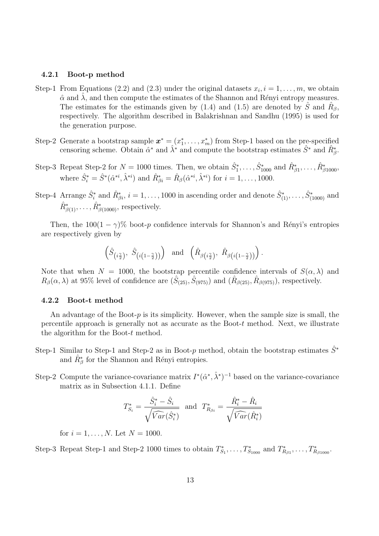#### **4.2.1 Boot-p method**

- Step-1 From Equations (2.2) and (2.3) under the original datasets  $x_i, i = 1, \ldots, m$ , we obtain  $\hat{\alpha}$  and  $\lambda$ , and then compute the estimates of the Shannon and Rényi entropy measures. The estimates for the estimands given by (1.4) and (1.5) are denoted by  $\hat{S}$  and  $\hat{R}_{\beta}$ , respectively. The algorithm described in Balakrishnan and Sandhu (1995) is used for the generation purpose.
- Step-2 Generate a bootstrap sample  $x^* = (x_1^*, \ldots, x_m^*)$  from Step-1 based on the pre-specified censoring scheme. Obtain  $\hat{\alpha}^*$  and  $\hat{\lambda}^*$  and compute the bootstrap estimates  $\hat{S}^*$  and  $\hat{R}^*_{\beta}$ .
- Step-3 Repeat Step-2 for  $N = 1000$  times. Then, we obtain  $\hat{S}_1^*, \ldots, \hat{S}_{1000}^*$  and  $\hat{R}_{\beta 1}^*, \ldots, \hat{R}_{\beta 1000}^*$ where  $\hat{S}_i^* = \hat{S}^*(\hat{\alpha}^{*i}, \hat{\lambda}^{*i})$  and  $\hat{R}_{\beta i}^* = \hat{R}_{\beta}(\hat{\alpha}^{*i}, \hat{\lambda}^{*i})$  for  $i = 1, ..., 1000$ .
- Step-4 Arrange  $\hat{S}^*_i$  and  $\hat{R}^*_{\beta i}$ ,  $i = 1, \ldots, 1000$  in ascending order and denote  $\hat{S}^*_{(1)}, \ldots, \hat{S}^*_{(1000)}$  and  $\hat{R}^*_{\beta(1)}, \ldots, \hat{R}^*_{\beta(1000)}$ , respectively.

Then, the  $100(1 - \gamma)$ % boot-*p* confidence intervals for Shannon's and Rényi's entropies are respectively given by

$$
\left(\hat{S}_{\left(i\frac{\gamma}{2}\right)}, \ \hat{S}_{\left(i\left(1-\frac{\gamma}{2}\right)\right)}\right) \ \ \text{and} \ \ \left(\hat{R}_{\beta\left(i\frac{\gamma}{2}\right)}, \ \hat{R}_{\beta\left(i\left(1-\frac{\gamma}{2}\right)\right)}\right).
$$

Note that when  $N = 1000$ , the bootstrap percentile confidence intervals of  $S(\alpha, \lambda)$  and  $R_\beta(\alpha, \lambda)$  at 95% level of confidence are  $(\hat{S}_{(25)}, \hat{S}_{(975)})$  and  $(\hat{R}_{\beta(25)}, \hat{R}_{\beta(975)})$ , respectively.

#### **4.2.2 Boot-t method**

An advantage of the Boot-*p* is its simplicity. However, when the sample size is small, the percentile approach is generally not as accurate as the Boot-*t* method. Next, we illustrate the algorithm for the Boot-*t* method.

- Step-1 Similar to Step-1 and Step-2 as in Boot- $p$  method, obtain the bootstrap estimates  $\hat{S}^*$ and  $\hat{R}^*_{\beta}$  for the Shannon and Rényi entropies.
- Step-2 Compute the variance-covariance matrix  $I^*(\hat{\alpha}^*, \hat{\lambda}^*)^{-1}$  based on the variance-covariance matrix as in Subsection 4*.*1*.*1. Define

$$
T_{S_i}^* = \frac{\hat{S}_i^* - \hat{S}_i}{\sqrt{\widehat{Var}(\hat{S}_i^*)}} \text{ and } T_{R_{\beta i}}^* = \frac{\hat{R}_i^* - \hat{R}_i}{\sqrt{\widehat{Var}(\hat{R}_i^*)}}
$$

for  $i = 1, ..., N$ . Let  $N = 1000$ .

Step-3 Repeat Step-1 and Step-2 1000 times to obtain  $T_{S_1}^*, \ldots, T_{S_{1000}}^*$  and  $T_{R_{\beta 1}}^*, \ldots, T_{R_{\beta 1000}}^*$ .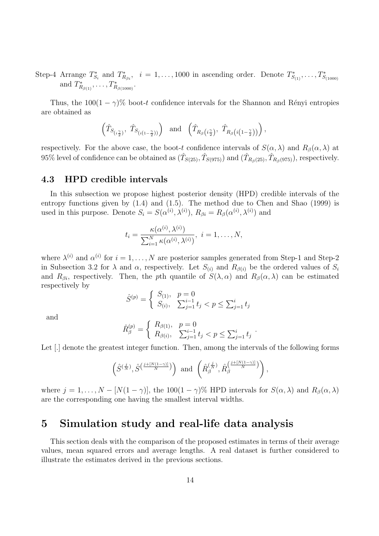Step-4 Arrange  $T_{S_i}^*$  and  $T_{R_{\beta i}}^*$ ,  $i = 1, \ldots, 1000$  in ascending order. Denote  $T_{S_{(1)}}^*, \ldots, T_{S_{(1000)}}^*$ and  $T_{R_{\beta(1)}}^*$ , ...,  $T_{R_{\beta(1000)}}^*$ .

Thus, the  $100(1 - \gamma)$ % boot-*t* confidence intervals for the Shannon and Rényi entropies are obtained as

$$
\left(\hat{T}_{S_{\left(i\frac{\gamma}{2}\right)}},\ \hat{T}_{S_{\left(i\left(1-\frac{\gamma}{2}\right)\right)}}\right)\ \ \text{and}\ \ \left(\hat{T}_{R_\beta\left(i\frac{\gamma}{2}\right)},\ \hat{T}_{R_\beta\left(i\left(1-\frac{\gamma}{2}\right)\right)}\right),
$$

respectively. For the above case, the boot-*t* confidence intervals of  $S(\alpha, \lambda)$  and  $R_\beta(\alpha, \lambda)$  at  $95\%$  level of confidence can be obtained as  $(\hat{T}_{S(25)}, \hat{T}_{S(975)})$  and  $(\hat{T}_{R_{\beta}(25)}, \hat{T}_{R_{\beta}(975)})$ , respectively.

#### **4.3 HPD credible intervals**

In this subsection we propose highest posterior density (HPD) credible intervals of the entropy functions given by (1*.*4) and (1*.*5). The method due to Chen and Shao (1999) is used in this purpose. Denote  $S_i = S(\alpha^{(i)}, \lambda^{(i)})$ ,  $R_{\beta i} = R_{\beta}(\alpha^{(i)}, \lambda^{(i)})$  and

$$
t_i = \frac{\kappa(\alpha^{(i)}, \lambda^{(i)})}{\sum_{i=1}^N \kappa(\alpha^{(i)}, \lambda^{(i)})}, \ i = 1, \dots, N,
$$

where  $\lambda^{(i)}$  and  $\alpha^{(i)}$  for  $i = 1, \ldots, N$  are posterior samples generated from Step-1 and Step-2 in Subsection 3.2 for  $\lambda$  and  $\alpha$ , respectively. Let  $S_{(i)}$  and  $R_{\beta(i)}$  be the ordered values of  $S_i$ and  $R_{\beta i}$ , respectively. Then, the *p*th quantile of  $S(\lambda, \alpha)$  and  $R_{\beta}(\alpha, \lambda)$  can be estimated respectively by

$$
\hat{S}^{(p)} = \begin{cases} S_{(1)}, & p = 0\\ S_{(i)}, & \sum_{j=1}^{i-1} t_j < p \le \sum_{j=1}^{i} t_j \end{cases}
$$

and

$$
\hat{R}_{\beta}^{(p)} = \begin{cases} R_{\beta(1)}, & p = 0 \\ R_{\beta(i)}, & \sum_{j=1}^{i-1} t_j < p \le \sum_{j=1}^{i} t_j \end{cases}.
$$

Let  $\Box$  denote the greatest integer function. Then, among the intervals of the following forms

$$
\left(\hat{S}^{(\frac{j}{N})},\hat{S}^{(\frac{j+[N(1-\gamma)]}{N})}\right) \text{ and } \left(\hat{R}_{\beta}^{(\frac{j}{N})},\hat{R}_{\beta}^{(\frac{j+[N(1-\gamma)]}{N})}\right),
$$

where  $j = 1, \ldots, N - [N(1 - \gamma)]$ , the 100(1 -  $\gamma$ )% HPD intervals for  $S(\alpha, \lambda)$  and  $R_\beta(\alpha, \lambda)$ are the corresponding one having the smallest interval widths.

## **5 Simulation study and real-life data analysis**

This section deals with the comparison of the proposed estimates in terms of their average values, mean squared errors and average lengths. A real dataset is further considered to illustrate the estimates derived in the previous sections.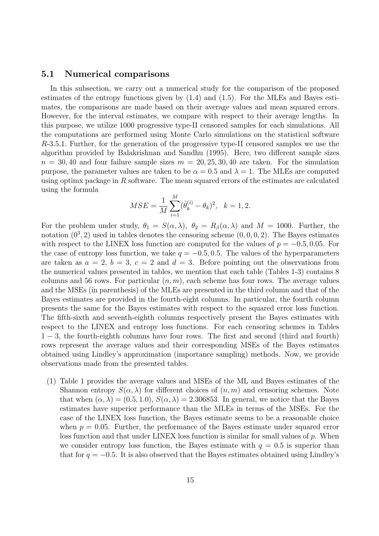#### **5.1 Numerical comparisons**

In this subsection, we carry out a numerical study for the comparison of the proposed estimates of the entropy functions given by (1*.*4) and (1*.*5). For the MLEs and Bayes estimates, the comparisons are made based on their average values and mean squared errors. However, for the interval estimates, we compare with respect to their average lengths. In this purpose, we utilize 1000 progressive type-II censored samples for each simulations. All the computations are performed using Monte Carlo simulations on the statistical software *R*-3*.*5*.*1*.* Further, for the generation of the progressive type-II censored samples we use the algorithm provided by Balakrishnan and Sandhu (1995). Here, two different sample sizes  $n = 30, 40$  and four failure sample sizes  $m = 20, 25, 30, 40$  are taken. For the simulation purpose, the parameter values are taken to be  $\alpha = 0.5$  and  $\lambda = 1$ . The MLEs are computed using optimx package in *R* software. The mean squared errors of the estimates are calculated using the formula

$$
MSE = \frac{1}{M} \sum_{i=1}^{M} (\hat{\theta}_k^{(i)} - \theta_k)^2, \quad k = 1, 2.
$$

For the problem under study,  $\theta_1 = S(\alpha, \lambda)$ ,  $\theta_2 = R_\beta(\alpha, \lambda)$  and  $M = 1000$ . Further, the notation  $(0^3, 2)$  used in tables denotes the censoring scheme  $(0, 0, 0, 2)$ . The Bayes estimates with respect to the LINEX loss function are computed for the values of  $p = -0.5, 0.05$ . For the case of entropy loss function, we take  $q = -0.5, 0.5$ . The values of the hyperparameters are taken as  $a = 2$ ,  $b = 3$ ,  $c = 2$  and  $d = 3$ . Before pointing out the observations from the numerical values presented in tables, we mention that each table (Tables 1-3) contains 8 columns and 56 rows. For particular  $(n, m)$ , each scheme has four rows. The average values and the MSEs (in parenthesis) of the MLEs are presented in the third column and that of the Bayes estimates are provided in the fourth-eight columns. In particular, the fourth column presents the same for the Bayes estimates with respect to the squared error loss function. The fifth-sixth and seventh-eighth columns respectively present the Bayes estimates with respect to the LINEX and entropy loss functions. For each censoring schemes in Tables 1 *−* 3, the fourth-eighth columns have four rows. The first and second (third and fourth) rows represent the average values and their corresponding MSEs of the Bayes estimates obtained using Lindley's approximation (importance sampling) methods. Now, we provide observations made from the presented tables.

(1) Table 1 provides the average values and MSEs of the ML and Bayes estimates of the Shannon entropy  $S(\alpha, \lambda)$  for different choices of  $(n, m)$  and censoring schemes. Note that when  $(\alpha, \lambda) = (0.5, 1.0), S(\alpha, \lambda) = 2.306853$ . In general, we notice that the Bayes estimates have superior performance than the MLEs in terms of the MSEs. For the case of the LINEX loss function, the Bayes estimate seems to be a reasonable choice when  $p = 0.05$ . Further, the performance of the Bayes estimate under squared error loss function and that under LINEX loss function is similar for small values of *p*. When we consider entropy loss function, the Bayes estimate with  $q = 0.5$  is superior than that for  $q = -0.5$ . It is also observed that the Bayes estimates obtained using Lindley's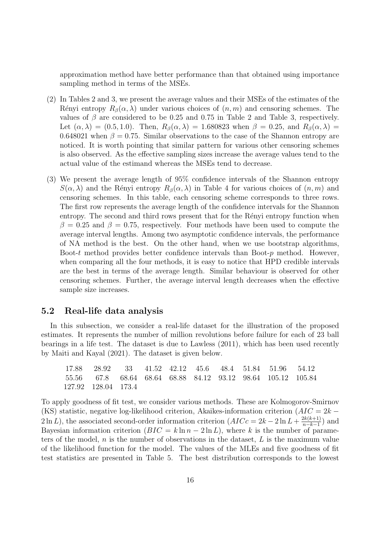approximation method have better performance than that obtained using importance sampling method in terms of the MSEs.

- (2) In Tables 2 and 3, we present the average values and their MSEs of the estimates of the Rényi entropy  $R_\beta(\alpha, \lambda)$  under various choices of  $(n, m)$  and censoring schemes. The values of  $\beta$  are considered to be 0.25 and 0.75 in Table 2 and Table 3, respectively. Let  $(\alpha, \lambda) = (0.5, 1.0)$ . Then,  $R_\beta(\alpha, \lambda) = 1.680823$  when  $\beta = 0.25$ , and  $R_\beta(\alpha, \lambda) =$ 0.648021 when  $\beta = 0.75$ . Similar observations to the case of the Shannon entropy are noticed. It is worth pointing that similar pattern for various other censoring schemes is also observed. As the effective sampling sizes increase the average values tend to the actual value of the estimand whereas the MSEs tend to decrease.
- (3) We present the average length of 95% confidence intervals of the Shannon entropy  $S(\alpha, \lambda)$  and the Rényi entropy  $R_\beta(\alpha, \lambda)$  in Table 4 for various choices of  $(n, m)$  and censoring schemes. In this table, each censoring scheme corresponds to three rows. The first row represents the average length of the confidence intervals for the Shannon entropy. The second and third rows present that for the Rényi entropy function when  $\beta = 0.25$  and  $\beta = 0.75$ , respectively. Four methods have been used to compute the average interval lengths. Among two asymptotic confidence intervals, the performance of NA method is the best. On the other hand, when we use bootstrap algorithms, Boot-*t* method provides better confidence intervals than Boot-*p* method. However, when comparing all the four methods, it is easy to notice that HPD credible intervals are the best in terms of the average length. Similar behaviour is observed for other censoring schemes. Further, the average interval length decreases when the effective sample size increases.

#### **5.2 Real-life data analysis**

In this subsection, we consider a real-life dataset for the illustration of the proposed estimates. It represents the number of million revolutions before failure for each of 23 ball bearings in a life test. The dataset is due to Lawless (2011), which has been used recently by Maiti and Kayal (2021). The dataset is given below.

17.88 28.92 33 41.52 42.12 45.6 48.4 51.84 51.96 54.12 55.56 67.8 68.64 68.64 68.88 84.12 93.12 98.64 105.12 105.84 127.92 128.04 173.4

To apply goodness of fit test, we consider various methods. These are Kolmogorov-Smirnov (KS) statistic, negative log-likelihood criterion, Akaikes-information criterion (*AIC* = 2*k −* 2 ln *L*), the associated second-order information criterion  $(AICc = 2k - 2 \ln L + \frac{2k(k+1)}{n-k-1})$  $\frac{2k(k+1)}{n-k-1}$ ) and Bayesian information criterion  $(BIC = k \ln n - 2 \ln L)$ , where *k* is the number of parameters of the model, *n* is the number of observations in the dataset, *L* is the maximum value of the likelihood function for the model. The values of the MLEs and five goodness of fit test statistics are presented in Table 5. The best distribution corresponds to the lowest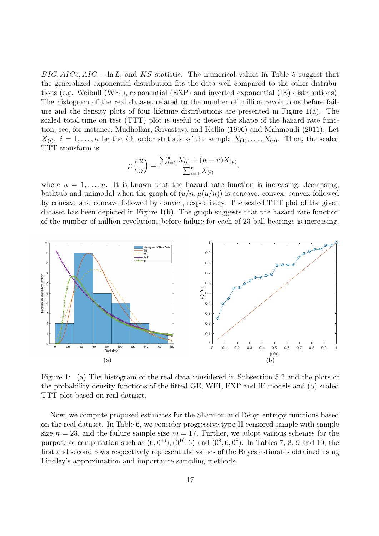*BIC, AICc, AIC,* − ln *L*, and *KS* statistic. The numerical values in Table 5 suggest that the generalized exponential distribution fits the data well compared to the other distributions (e.g. Weibull (WEI), exponential (EXP) and inverted exponential (IE) distributions). The histogram of the real dataset related to the number of million revolutions before failure and the density plots of four lifetime distributions are presented in Figure  $1(a)$ . The scaled total time on test (TTT) plot is useful to detect the shape of the hazard rate function, see, for instance, Mudholkar, Srivastava and Kollia (1996) and Mahmoudi (2011). Let  $X_{(i)}$ ,  $i = 1, \ldots, n$  be the *i*th order statistic of the sample  $X_{(1)}, \ldots, X_{(n)}$ . Then, the scaled TTT transform is

$$
\mu\left(\frac{u}{n}\right) = \frac{\sum_{i=1}^{u} X_{(i)} + (n - u)X_{(u)}}{\sum_{i=1}^{n} X_{(i)}},
$$

where  $u = 1, \ldots, n$ . It is known that the hazard rate function is increasing, decreasing, bathtub and unimodal when the graph of  $(u/n, \mu(u/n))$  is concave, convex, convex followed by concave and concave followed by convex, respectively. The scaled TTT plot of the given dataset has been depicted in Figure 1(b). The graph suggests that the hazard rate function of the number of million revolutions before failure for each of 23 ball bearings is increasing.



Figure 1: (a) The histogram of the real data considered in Subsection 5*.*2 and the plots of the probability density functions of the fitted GE, WEI, EXP and IE models and (b) scaled TTT plot based on real dataset.

Now, we compute proposed estimates for the Shannon and Rényi entropy functions based on the real dataset. In Table 6, we consider progressive type-II censored sample with sample size  $n = 23$ , and the failure sample size  $m = 17$ . Further, we adopt various schemes for the purpose of computation such as  $(6, 0^{16})$ ,  $(0^{16}, 6)$  and  $(0^8, 6, 0^8)$ . In Tables 7, 8, 9 and 10, the first and second rows respectively represent the values of the Bayes estimates obtained using Lindley's approximation and importance sampling methods.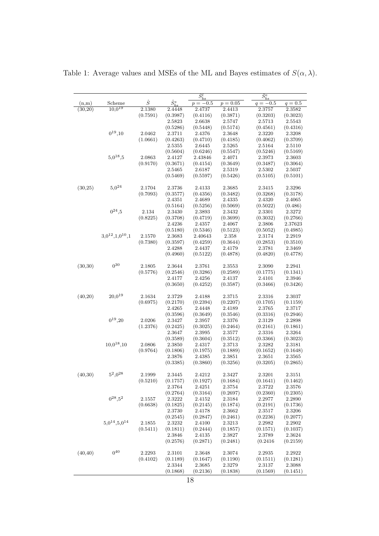|          |                             |           |                    | $\hat{S}^l_{bs}$ |            | $\overline{\hat{S}_{bs}^e}$ |           |
|----------|-----------------------------|-----------|--------------------|------------------|------------|-----------------------------|-----------|
| (n,m)    | Scheme                      | $\hat{S}$ | $\hat{S}^{s}_{bs}$ | $p=-0.5\,$       | $p = 0.05$ | $q = -0.5$                  | $q = 0.5$ |
| (30,20)  | $10,0^{19}$                 | 2.1380    | 2.4448             | 2.4737           | 2.4413     | 2.3757                      | 2.3582    |
|          |                             | (0.7591)  | (0.3987)           | (0.4116)         | (0.3871)   | (0.3203)                    | (0.3023)  |
|          |                             |           | 2.5823             | 2.6638           | 2.5747     | 2.5713                      | 2.5543    |
|          |                             |           | (0.5286)           | (0.5448)         | (0.5174)   | (0.4561)                    | (0.4316)  |
|          | $0^{19}, 10$                | 2.0462    | 2.3711             | 2.4376           | 2.3648     | 2.3220                      | 2.3208    |
|          |                             | (1.0661)  | (0.4263)           | (0.4710)         | (0.4185)   | (0.4062)                    | (0.3709)  |
|          |                             |           | 2.5355             | 2.6445           | 2.5265     | 2.5164                      | 2.5110    |
|          |                             |           | (0.5604)           | (0.6246)         | (0.5547)   | (0.5246)                    | (0.5169)  |
|          | $5,0^{18},5$                | 2.0863    | 2.4127             | 2.43846          | 2.4071     | 2.3973                      | 2.3603    |
|          |                             | (0.9170)  | (0.3671)           | (0.4154)         | (0.3649)   | (0.3487)                    | (0.3064)  |
|          |                             |           | 2.5465             | 2.6187           | 2.5319     | 2.5302                      | 2.5037    |
|          |                             |           | (0.5469)           | (0.5597)         | (0.5426)   | (0.5105)                    | (0.5101)  |
| (30,25)  | $5,0^{24}$                  | 2.1704    | 2.3736             | 2.4133           | 2.3685     | 2.3415                      | 2.3296    |
|          |                             | (0.7093)  | (0.3577)           | (0.4356)         | (0.3482)   | (0.3268)                    | (0.3178)  |
|          |                             |           | 2.4351             | 2.4689           | 2.4335     | 2.4320                      | 2.4065    |
|          |                             |           | (0.5164)           | (0.5256)         | (0.5069)   | (0.5022)                    | (0.486)   |
|          | $0^{24}, 5$                 | 2.134     | 2.3430             | 2.3893           | 2.3432     | 2.3301                      | 2.3272    |
|          |                             | (0.8225)  | (0.3708)           | (0.4719)         | (0.3699)   | (0.3032)                    | (0.2766)  |
|          |                             |           | 2.4236             | 2.4357           | 2.4067     | 2.3806                      | 2.37623   |
|          |                             |           | (0.5180)           | (0.5346)         | (0.5123)   | (0.5052)                    | (0.4985)  |
|          | $3.0^{12}$ , $1.0^{10}$ , 1 | 2.1570    | 2.3683             | 2.40643          | 2.358      | 2.3174                      | 2.2919    |
|          |                             | (0.7380)  | (0.3597)           | (0.4259)         | (0.3644)   | (0.2853)                    | (0.3510)  |
|          |                             |           | 2.4288             | 2.4437           | 2.4179     | 2.3781                      | 2.3469    |
|          |                             |           | (0.4960)           | (0.5122)         | (0.4878)   | (0.4820)                    | (0.4778)  |
| (30,30)  | $0^{30}$                    | 2.1805    | 2.3644             | 2.3761           | 2.3553     | 2.3090                      | 2.2941    |
|          |                             | (0.5776)  | (0.2546)           | (0.3286)         | (0.2589)   | (0.1775)                    | (0.1341)  |
|          |                             |           | 2.4177             | 2.4256           | 2.4137     | 2.4101                      | 2.3946    |
|          |                             |           | (0.3650)           | (0.4252)         | (0.3587)   | (0.3466)                    | (0.3426)  |
| (40,20)  | $20,0^{19}$                 | 2.1634    | 2.3729             | 2.4188           | 2.3715     | 2.3316                      | 2.3037    |
|          |                             | (0.6975)  | (0.2170)           | (0.2394)         | (0.2207)   | (0.1705)                    | (0.1159)  |
|          |                             |           | 2.4265             | 2.4448           | 2.4189     | 2.3765                      | 2.3717    |
|          |                             |           | (0.3596)           | (0.3649)         | (0.3546)   | (0.3316)                    | (0.2946)  |
|          | $0^{19}$ , 20               | 2.0206    | 2.3427             | 2.3957           | 2.3376     | 2.3129                      | 2.2898    |
|          |                             | (1.2376)  | (0.2425)           | (0.3025)         | (0.2464)   | (0.2161)                    | (0.1861)  |
|          |                             |           | 2.3647             | 2.3995           | 2.3577     | 2.3316                      | 2.3264    |
|          |                             |           | (0.3589)           | (0.3604)         | (0.3512)   | (0.3366)                    | (0.3023)  |
|          | $10,0^{18},10$              | 2.0806    | 2.3850             | 2.4317           | 2.3713     | 2.3282                      | 2.3181    |
|          |                             | (0.9764)  | (0.1806)           | (0.1975)         | (0.1889)   | (0.1652)                    | (0.1648)  |
|          |                             |           | 2.3876             | 2.4385           | 2.3851     | 2.3651                      | 2.3565    |
|          |                             |           | (0.3385)           | (0.3860)         | (0.3256)   | (0.3205)                    | (0.2865)  |
| (40,30)  | $5^2,0^{28}$                | 2.1999    | 2.3445             | 2.4212           | 2.3427     | 2.3201                      | 2.3151    |
|          |                             | (0.5210)  | (0.1757)           | (0.1927)         | (0.1684)   | (0.1641)                    | (0.1462)  |
|          |                             |           | 2.3764             | 2.4251           | 2.3754     | 2.3722                      | 2.3576    |
|          |                             |           | (0.2764)           | (0.3164)         | (0.2697)   | (0.2360)                    | (0.2305)  |
|          | $0^{28}, 5^2$               | 2.1557    | 2.3222             | 2.4152           | 2.3184     | 2.2977                      | 2.2890    |
|          |                             | (0.6638)  | (0.1825)           | (0.2145)         | (0.1874)   | (0.2191)                    | (0.1736)  |
|          |                             |           | 2.3730             | 2.4178           | 2.3662     | 2.3517                      | 2.3206    |
|          |                             |           | (0.2545)           | (0.2847)         | (0.2461)   | (0.2236)                    | (0.2077)  |
|          | $5.0^{14}, 5.0^{14}$        | 2.1855    | 2.3232             | 2.4100           | 2.3213     | 2.2982                      | 2.2902    |
|          |                             | (0.5411)  | (0.1811)           | (0.2444)         | (0.1857)   | (0.1571)                    | (0.1037)  |
|          |                             |           | 2.3846             | 2.4135           | 2.3827     | 2.3789                      | 2.3624    |
|          |                             |           | (0.2576)           | (0.2871)         | (0.2481)   | (0.2416)                    | (0.2159)  |
| (40, 40) | $0^{40}$                    | 2.2293    | 2.3101             | 2.3648           | 2.3074     | 2.2935                      | 2.2922    |
|          |                             | (0.4102)  | (0.1189)           | (0.1647)         | (0.1190)   | (0.1511)                    | (0.1281)  |
|          |                             |           | 2.3344             | 2.3685           | 2.3279     | 2.3137                      | 2.3088    |
|          |                             |           | (0.1868)           | (0.2136)         | (0.1838)   | (0.1569)                    | (0.1451)  |
|          |                             |           |                    |                  |            |                             |           |

Table 1: Average values and MSEs of the ML and Bayes estimates of  $S(\alpha, \lambda)$ .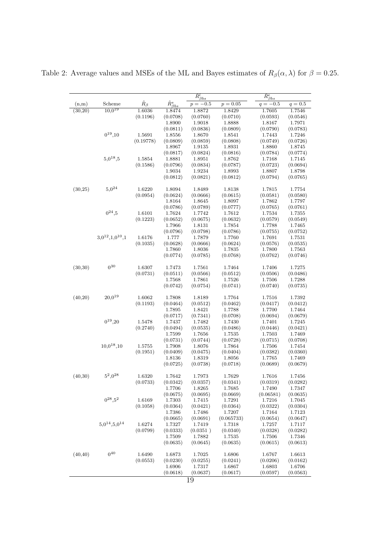|          |                       |                   |                        | $\overline{\hat{R}^l_{\underline{\beta bs}}}$ |                    | $\hat{R}^e_{\beta bs}$ |           |
|----------|-----------------------|-------------------|------------------------|-----------------------------------------------|--------------------|------------------------|-----------|
| (n,m)    | Scheme                | $\hat{R}_{\beta}$ | $\hat{R}^s_{\beta bs}$ | $p = -0.5$                                    | $p = 0.05$         | $q = -0.5$             | $q = 0.5$ |
| (30,20)  | $10,0^{19}$           | 1.6036            | 1.8474                 | 1.8872                                        | 1.8429             | 1.7605                 | 1.7546    |
|          |                       | (0.1196)          | (0.0708)               | (0.0760)                                      | (0.0710)           | (0.0593)               | (0.0546)  |
|          |                       |                   | 1.8900                 | 1.9018                                        | 1.8888             | 1.8167                 | 1.7971    |
|          |                       |                   | (0.0811)               | (0.0836)                                      | (0.0809)           | (0.0790)               | (0.0783)  |
|          | $0^{19}, 10$          | 1.5691            | 1.8556                 | 1.8670                                        | 1.8541             | 1.7443                 | 1.7246    |
|          |                       | (0.19778)         | (0.0809)               | (0.0859)                                      | (0.0808)           | (0.0749)               | (0.0726)  |
|          |                       |                   | 1.8967                 | 1.9135                                        | 1.8931             | 1.8860                 | 1.8745    |
|          |                       |                   | (0.0817)               | (0.0824)                                      | (0.0816)           | (0.0784)               | (0.0774)  |
|          | $5,0^{18},5$          | 1.5854            | 1.8881                 | 1.8951                                        | 1.8762             | 1.7168                 | 1.7145    |
|          |                       | (0.1586)          | (0.0796)               | (0.0834)                                      | (0.0787)           | (0.0723)               | (0.0694)  |
|          |                       |                   | 1.9034                 | 1.9234                                        | 1.8993             | 1.8807                 | 1.8798    |
|          |                       |                   | (0.0812)               | (0.0821)                                      | (0.0812)           | (0.0794)               | (0.0765)  |
|          |                       |                   |                        |                                               |                    |                        |           |
| (30,25)  | $5,0^{24}$            | 1.6220            | 1.8094                 | 1.8489                                        | 1.8138             | 1.7815                 | 1.7754    |
|          |                       | (0.0954)          | (0.0624)               | (0.0666)                                      | (0.0615)           | (0.0581)               | (0.0580)  |
|          |                       |                   | 1.8164                 | 1.8645                                        | 1.8097             | 1.7862                 | 1.7797    |
|          |                       |                   | (0.0786)               | (0.0789)                                      | (0.0777)           | (0.0765)               | (0.0761)  |
|          | $0^{24}, 5$           | 1.6101            | 1.7624                 | 1.7742                                        | 1.7612             | 1.7534                 | 1.7355    |
|          |                       | (0.1223)          | (0.0652)               | (0.0675)                                      | (0.0632)           | (0.0579)               | (0.0549)  |
|          |                       |                   | 1.7966                 | 1.8131                                        | 1.7854             | 1.7788                 | 1.7465    |
|          |                       |                   | (0.0796)               | (0.0798)                                      | (0.0786)           | (0.0755)               | (0.0752)  |
|          | $3,0^{12},1,0^{10},1$ | 1.6176            | 1.777                  | 1.7879                                        | 1.7760             | 1.7691                 | 1.7531    |
|          |                       | (0.1035)          | (0.0628)               | (0.0666)                                      | (0.0624)           | (0.0576)               | (0.0535)  |
|          |                       |                   |                        |                                               |                    | 1.7800                 | 1.7563    |
|          |                       |                   | 1.7860<br>(0.0774)     | 1.8036<br>(0.0785)                            | 1.7835<br>(0.0768) | (0.0762)               | (0.0746)  |
|          |                       |                   |                        |                                               |                    |                        |           |
| (30,30)  | $0^{30}$              | 1.6307            | 1.7473                 | 1.7561                                        | 1.7464             | 1.7406                 | 1.7275    |
|          |                       | (0.0731)          | (0.0511)               | (0.0566)                                      | (0.0512)           | (0.0506)               | (0.0486)  |
|          |                       |                   | 1.7568                 | 1.7861                                        | 1.7526             | 1.7506                 | 1.7288    |
|          |                       |                   | (0.0742)               | (0.0754)                                      | (0.0741)           | (0.0740)               | (0.0735)  |
|          |                       |                   |                        |                                               |                    |                        |           |
| (40,20)  | $20,0^{19}$           | 1.6062            | 1.7808                 | 1.8189                                        | 1.7764             | 1.7516                 | 1.7392    |
|          |                       | (0.1193)          | (0.0464)               | (0.0512)                                      | (0.0462)           | (0.0417)               | (0.0412)  |
|          |                       |                   | 1.7895                 | 1.8421                                        | 1.7788             | 1.7700                 | 1.7464    |
|          |                       |                   | (0.0717)               | (0.7341)                                      | (0.0708)           | (0.0694)               | (0.0679)  |
|          | $0^{19}, 20$          | 1.5478            | 1.7437                 | 1.7482                                        | 1.7430             | 1.7401                 | 1.7245    |
|          |                       | (0.2740)          | (0.0494)               | (0.0535)                                      | (0.0486)           | (0.0446)               | (0.0421)  |
|          |                       |                   | 1.7599                 | 1.7656                                        | 1.7535             | 1.7503                 | 1.7469    |
|          |                       |                   | (0.0731)               | (0.0744)                                      | (0.0728)           | (0.0715)               | (0.0708)  |
|          | $10,0^{18},10$        | 1.5755            | 1.7908                 | 1.8076                                        | 1.7864             | 1.7506                 | 1.7454    |
|          |                       | (0.1951)          | (0.0409)               | (0.0475)                                      | (0.0404)           | (0.0382)               | (0.0360)  |
|          |                       |                   | 1.8136                 | 1.8319                                        | 1.8056             | 1.7765                 | 1.7469    |
|          |                       |                   | (0.0725)               | (0.0738)                                      | (0.0718)           | (0.0689)               | (0.0679)  |
|          |                       |                   |                        |                                               |                    |                        |           |
| (40,30)  | $5^2,0^{28}$          | 1.6320            | 1.7642                 | 1.7973                                        | 1.7629             | 1.7616                 | 1.7456    |
|          |                       | (0.0733)          | (0.0342)               | (0.0357)                                      | (0.0341)           | (0.0319)               | (0.0282)  |
|          |                       |                   | 1.7706                 | 1.8265                                        | 1.7685             | 1.7490                 | 1.7347    |
|          |                       |                   | (0.0675)               | (0.0695)                                      | (0.0669)           | (0.06581)              | (0.0635)  |
|          | $0^{28}, 5^2$         | 1.6169            | 1.7303                 | 1.7415                                        | 1.7291             | 1.7216                 | 1.7045    |
|          |                       | (0.1058)          | (0.0364)               | (0.0421)                                      | (0.0364)           | (0.0322)               | (0.0304)  |
|          |                       |                   | 1.7386                 | 1.7486                                        | 1.7207             | 1.7164                 | 1.7123    |
|          |                       |                   | (0.0665)               | (0.0691)                                      | (0.065733)         | (0.0654)               | (0.0647)  |
|          | $5.0^{14}, 5.0^{14}$  | 1.6274            | 1.7327                 | 1.7419                                        | 1.7318             | 1.7257                 | 1.7117    |
|          |                       | (0.0799)          | (0.0333)               | (0.0351)                                      | (0.0340)           | (0.0328)               | (0.0282)  |
|          |                       |                   | 1.7509                 | 1.7882                                        | 1.7535             | 1.7506                 | 1.7346    |
|          |                       |                   | (0.0635)               | (0.0645)                                      | (0.0635)           | (0.0615)               | (0.0613)  |
|          |                       |                   |                        |                                               |                    |                        |           |
| (40, 40) | $0^{40}$              | 1.6490            | 1.6873                 | 1.7025                                        | 1.6806             | 1.6767                 | 1.6613    |
|          |                       | (0.0553)          | (0.0230)               | (0.0255)                                      | (0.0241)           | (0.0206)               | (0.0162)  |
|          |                       |                   | 1.6906                 | 1.7317                                        | 1.6867             | 1.6803                 | 1.6706    |
|          |                       |                   | (0.0618)               | (0.0637)                                      | (0.0617)           | (0.0597)               | (0.0563)  |

Table 2: Average values and MSEs of the ML and Bayes estimates of  $R_\beta(\alpha, \lambda)$  for  $\beta = 0.25$ .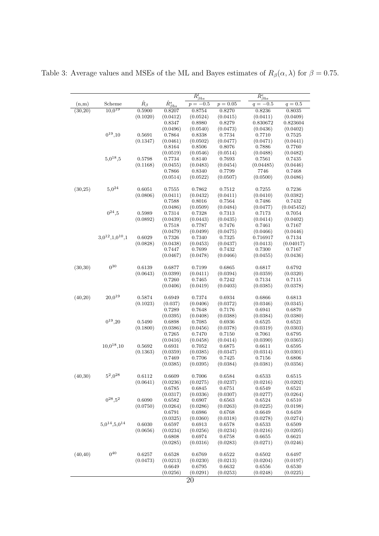|          |                             |                   |                        | $\overline{\hat{R}^l_{\beta b s}}$ |            | $\hat{R}^e_{\beta bs}$ |            |
|----------|-----------------------------|-------------------|------------------------|------------------------------------|------------|------------------------|------------|
| (n,m)    | Scheme                      | $\hat{R}_{\beta}$ | $\hat{R}^s_{\beta bs}$ | $p = -0.5$                         | $p=0.05\,$ | $-0.5$<br>$q =$        | $q = 0.5$  |
| (30,20)  | $10,0^{19}$                 | 0.5900            | 0.8207                 | 0.8754                             | 0.8270     | 0.8236                 | 0.8035     |
|          |                             | (0.1020)          | (0.0412)               | (0.0524)                           | (0.0415)   | (0.0411)               | (0.0409)   |
|          |                             |                   | 0.8347                 | 0.8980                             | 0.8279     | 0.830672               | 0.823604   |
|          |                             |                   | (0.0496)               | (0.0540)                           | (0.0473)   | (0.0436)               | (0.0402)   |
|          | $0^{19}, 10$                | 0.5691            | 0.7864                 | 0.8338                             | 0.7734     | 0.7710                 | 0.7525     |
|          |                             | (0.1347)          | (0.0461)               | (0.0502)                           | (0.0477)   | (0.0471)               | (0.0441)   |
|          |                             |                   | 0.8164                 | 0.8506                             | 0.8076     | 0.7886                 | 0.7760     |
|          |                             |                   | (0.0519)               | (0.0546)                           | (0.0514)   | (0.0488)               | (0.0482)   |
|          | $5,0^{18},5$                | 0.5798            | 0.7734                 | 0.8140                             | 0.7693     | 0.7561                 | 0.7435     |
|          |                             | (0.1168)          | (0.0455)               | (0.0483)                           | (0.0454)   | (0.04485)              | (0.0446)   |
|          |                             |                   | 0.7866                 | 0.8340                             | 0.7799     | 7746                   | 0.7468     |
|          |                             |                   | (0.0514)               | (0.0522)                           | (0.0507)   | (0.0500)               | (0.0486)   |
| (30,25)  | $5,0^{24}$                  | 0.6051            | 0.7555                 | 0.7862                             | 0.7512     | 0.7255                 | 0.7236     |
|          |                             | (0.0806)          | (0.0411)               | (0.0432)                           | (0.0411)   | (0.0410)               | (0.0382)   |
|          |                             |                   | 0.7588                 | 0.8016                             | 0.7564     | 0.7486                 | 0.7432     |
|          |                             |                   | (0.0486)               | (0.0509)                           | (0.0484)   | (0.0477)               | (0.045452) |
|          | $0^{24},5$                  | 0.5989            | 0.7314                 | 0.7328                             | 0.7313     | 0.7173                 | 0.7054     |
|          |                             | (0.0892)          | (0.0439)               | (0.0443)                           | (0.0435)   | (0.0414)               | (0.0402)   |
|          |                             |                   | 0.7518                 | 0.7787                             | 0.7476     | 0.7461                 | 0.7167     |
|          |                             |                   | (0.0479)               | (0.0499)                           | (0.0475)   | (0.0466)               | (0.0446)   |
|          | $3.0^{12}$ , $1.0^{10}$ , 1 | 0.6029            | 0.7326                 | 0.7340                             | 0.7325     | 0.716917               | 0.7134     |
|          |                             | (0.0828)          | (0.0438)               | (0.0453)                           | (0.0437)   | (0.0413)               | (0.04017)  |
|          |                             |                   | 0.7447                 | 0.7699                             | 0.7432     | 0.7300                 | 0.7167     |
|          |                             |                   | (0.0467)               | (0.0478)                           | (0.0466)   | (0.0455)               | (0.0436)   |
| (30,30)  | $0^{30}$                    | 0.6139            | 0.6877                 | 0.7199                             | 0.6865     | 0.6817                 | 0.6792     |
|          |                             | (0.0643)          | (0.0399)               | (0.0411)                           | (0.0394)   | (0.0359)               | (0.0320)   |
|          |                             |                   | 0.7260                 | 0.7465                             | 0.7242     | 0.7134                 | 0.7115     |
|          |                             |                   | (0.0406)               | (0.0419)                           | (0.0403)   | (0.0385)               | (0.0378)   |
| (40,20)  | $20,0^{19}$                 | 0.5874            | 0.6949                 | 0.7374                             | 0.6934     | 0.6866                 | 0.6813     |
|          |                             | (0.1023)          | (0.037)                | (0.0406)                           | (0.0372)   | (0.0346)               | (0.0345)   |
|          |                             |                   | 0.7289                 | 0.7648                             | 0.7176     | 0.6941                 | 0.6870     |
|          |                             |                   | (0.0395)               | (0.0408)                           | (0.0388)   | (0.0384)               | (0.0380)   |
|          | $0^{19}$ , 20               | 0.5490            | 0.6898                 | 0.7085                             | 0.6936     | 0.6525                 | 0.6521     |
|          |                             | (0.1800)          | (0.0386)               | (0.0456)                           | (0.0378)   | (0.0319)               | (0.0303)   |
|          |                             |                   | 0.7265                 | 0.7470                             | 0.7150     | 0.7061                 | 0.6795     |
|          |                             |                   | (0.0416)               | (0.0458)                           | (0.0414)   | (0.0390)               | (0.0365)   |
|          | $10,0^{18},10$              | 0.5692            | 0.6931                 | 0.7052                             | 0.6875     | 0.6611                 | 0.6595     |
|          |                             | (0.1363)          | (0.0359)               | (0.0385)                           | (0.0347)   | (0.0314)               | (0.0301)   |
|          |                             |                   | 0.7469                 | 0.7706                             | 0.7425     | 0.7156                 | 0.6806     |
|          |                             |                   | (0.0385)               | (0.0395)                           | (0.0384)   | (0.0381)               | (0.0356)   |
| (40,30)  | $5^2,0^{28}$                | 0.6112            | 0.6609                 | 0.7006                             | 0.6584     | 0.6533                 | 0.6515     |
|          |                             | (0.0641)          | (0.0236)               | (0.0275)                           | (0.0237)   | (0.0216)               | (0.0202)   |
|          |                             |                   | 0.6785                 | 0.6845                             | 0.6751     | 0.6549                 | 0.6521     |
|          |                             |                   | (0.0317)               | (0.0336)                           | (0.0307)   | (0.0277)               | (0.0264)   |
|          | $0^{28}, 5^2$               | 0.6090            | 0.6582                 | 0.6907                             | 0.6563     | 0.6524                 | 0.6510     |
|          |                             | (0.0750)          | (0.0264)               | (0.0286)                           | (0.0263)   | (0.0225)               | (0.0198)   |
|          |                             |                   | 0.6791                 | 0.6986                             | 0.6768     | 0.6649                 | 0.6459     |
|          |                             |                   | (0.0325)               | (0.0360)                           | (0.0318)   | (0.0278)               | (0.0274)   |
|          | $5,0^{14},5,0^{14}$         | 0.6030            | 0.6597                 | 0.6913                             | 0.6578     | 0.6533                 | 0.6509     |
|          |                             | (0.0656)          | (0.0234)               | (0.0256)                           | (0.0234)   | (0.0216)               | (0.0205)   |
|          |                             |                   | 0.6808                 | 0.6974                             | 0.6758     | 0.6655                 | 0.6621     |
|          |                             |                   | (0.0285)               | (0.0316)                           | (0.0283)   | (0.0271)               | (0.0246)   |
| (40, 40) | $0^{40}$                    | 0.6257            | 0.6528                 | 0.6769                             | 0.6522     | 0.6502                 | 0.6497     |
|          |                             | (0.0473)          | (0.0213)               | (0.0230)                           | (0.0213)   | (0.0204)               | (0.0197)   |
|          |                             |                   | 0.6649                 | 0.6795                             | 0.6632     | 0.6556                 | 0.6530     |
|          |                             |                   | (0.0256)               | (0.0291)                           | (0.0253)   | (0.0248)               | (0.0225)   |
|          |                             |                   |                        | 20                                 |            |                        |            |

Table 3: Average values and MSEs of the ML and Bayes estimates of  $R_\beta(\alpha, \lambda)$  for  $\beta = 0.75$ .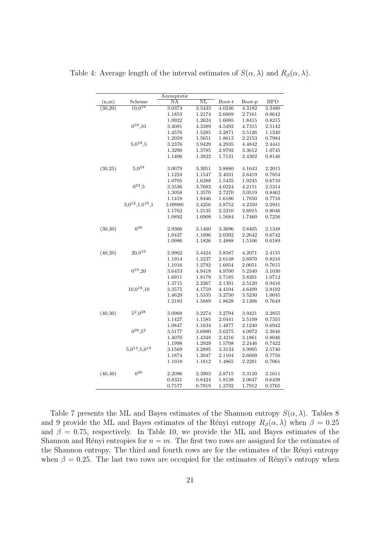|          |                       | Asymptotic          |                  |                  |                  |            |
|----------|-----------------------|---------------------|------------------|------------------|------------------|------------|
| (n,m)    | Scheme                | $\overline{\rm NA}$ | $_{\rm NL}$      | Boot-t           | Boot-p           | <b>HPD</b> |
| (30,20)  | $10,0^{19}$           | 3.0374              | 3.5433           | 4.0246           | 4.3182           | 2.3480     |
|          |                       | 1.1853              | 1.2174           | 2.6069           | 2.7161           | 0.8642     |
|          |                       | 1.0922              | 1.2624           | 1.6085           | 1.8415           | 0.8215     |
|          | $0^{19}, 10$          | 3.4081              | 4.3389           | 4.5492           | 4.7315           | 2.5142     |
|          |                       | 1.4576              | 1.5285           | 3.2871           | 3.5126           | 1.1240     |
|          |                       | 1.2059              | 1.5651           | 1.8613           | 2.2153           | 0.7984     |
|          | $5,0^{18},5$          | 3.2376              | 3.9429           | 4.2935           | 4.4842           | 2.4441     |
|          |                       | 1.3290              | 1.3785           | 2.9792           | 3.3612           | 1.0745     |
|          |                       | 1.1406              | 1.3822           | 1.7131           | 2.4302           | 0.8146     |
| (30,25)  | $5,0^{24}$            | 3.0079              | 3.3051           | 3.8880           | 4.1643           | 2.2015     |
|          |                       | 1.1224              | 1.1547           | 2.4031           | 2.6419           | 0.7854     |
|          |                       | 1.0705              | 1.6388           | 1.5435           | 1.9245           | 0.6710     |
|          | $0^{24}, 5$           | 3.3536              | 3.7683           | 4.0224           | 4.2151           | 2.5314     |
|          |                       | 1.3058              | 1.3570           | 2.7270           | 3.0519           | 0.8462     |
|          |                       | 1.1418              | 1.8446           | 1.6186           | 1.7850           | 0.7716     |
|          | $3,0^{12},1,0^{10},1$ | 3.09980             | 3.4256           | 3.8752           | 4.2350           | 2.2941     |
|          |                       | 1.1762              | 1.2135           | 2.5210           | 2.6915           | 0.8046     |
|          |                       | 1.0892              | 1.6908           | 1.5684           | 1.7460           | 0.7256     |
|          |                       |                     |                  |                  |                  |            |
| (30, 30) | $0^{30}$              | 2.9306              | 3.1460           | 3.3696           | 3.8405           | 2.1348     |
|          |                       | 1.0437              | 1.1096           | 2.0392           | 2.2642           | 0.6742     |
|          |                       | 1.0986              | 1.1826           | 1.4888           | 1.5106           | 0.6189     |
| (40, 20) | $20.0^{19}$           | 2.9902              | 3.4424           | 3.8587           | 4.2071           | 2.4155     |
|          |                       | 1.1914              | 1.2237           | 2.6148           | 2.6970           | 0.8216     |
|          |                       | 1.1016              | 1.2792           | 1.6054           | 2.0051           | 0.7615     |
|          | $0^{19}$ , 20         | 3.6453              | 4.9418           | 4.9760           | 5.2340           | 3.1030     |
|          |                       | 1.6911              | 1.8179           | 3.7185           | 3.8201           | 1.0712     |
|          |                       | 1.3715              | 2.2267           | 2.1301           | 2.5120           | 0.9416     |
|          | $10,0^{18},10$        | 3.3575              | 4.1759           | 4.4104           | 4.6499           | 2.8192     |
|          |                       | 1.4629              | 1.5335           | 3.2750           | 3.5230           | 1.0045     |
|          |                       | 1.2193              | 1.5889           | 1.8628           | 2.1206           | 0.7649     |
| (40,30)  | $5^2,0^{28}$          | 3.0968              | 3.2274           | 3.2794           | 3.9421           | 2.2855     |
|          |                       | 1.1427              | 1.1585           | 2.0441           | 2.5109           | 0.7355     |
|          |                       |                     |                  |                  | 2.1240           |            |
|          | $0^{28}, 5^2$         | 1.0847              | 1.1634           | 1.4877           |                  | 0.6942     |
|          |                       | 3.5177              | 3.6980<br>1.4348 | 3.6275<br>2.4216 | 4.0972<br>3.1861 | 2.3846     |
|          |                       | 1.4070              |                  |                  |                  | 0.8046     |
|          | $5.0^{14}, 5.0^{14}$  | 1.1998              | 1.2929           | 1.5708           | 2.2446           | 0.7422     |
|          |                       | 3.1569              | 3.2895           | 3.3134           | 3.9995           | 2.5740     |
|          |                       | 1.1874              | 1.2047           | 2.1104           | 2.6609           | 0.7756     |
|          |                       |                     |                  |                  |                  |            |
|          | $0^{40}$              | 2.2096              | 2.3903           | 2.8715           | 3.3120           | 2.1611     |
|          |                       | 0.8331              | 0.8424           | 1.8138           | 2.0647           | 0.6438     |
|          |                       | 0.7577              | 0.7919           | 1.3792           | 1.7912           | 0.5765     |
| (40, 40) |                       | 1.1018              | 1.1812           | 1.4865           | 2.2281           | 0.7061     |

Table 4: Average length of the interval estimates of  $S(\alpha, \lambda)$  and  $R_\beta(\alpha, \lambda)$ .

Table 7 presents the ML and Bayes estimates of the Shannon entropy  $S(\alpha, \lambda)$ . Tables 8 and 9 provide the ML and Bayes estimates of the Rényi entropy  $R_\beta(\alpha, \lambda)$  when  $\beta = 0.25$ and  $\beta = 0.75$ , respectively. In Table 10, we provide the ML and Bayes estimates of the Shannon and Rényi entropies for  $n = m$ . The first two rows are assigned for the estimates of the Shannon entropy. The third and fourth rows are for the estimates of the Rényi entropy when  $\beta = 0.25$ . The last two rows are occupied for the estimates of Rényi's entropy when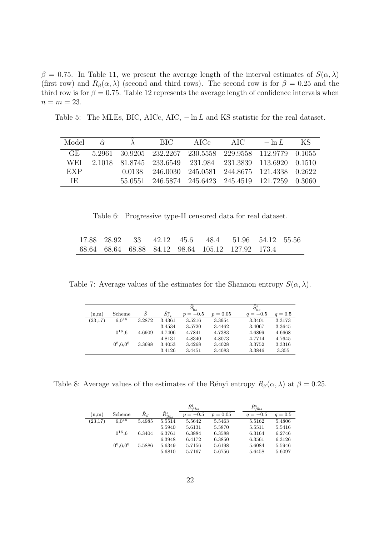$β = 0.75$ . In Table 11, we present the average length of the interval estimates of *S*(*α, λ*) (first row) and  $R_\beta(\alpha, \lambda)$  (second and third rows). The second row is for  $\beta = 0.25$  and the third row is for  $\beta = 0.75$ . Table 12 represents the average length of confidence intervals when  $n = m = 23$ .

Table 5: The MLEs, BIC, AICc, AIC, *−* ln *L* and KS statistic for the real dataset.

| Model $\hat{\alpha}$ |  | - BIC - | $\triangle$ IC $c$ | AIC                                                       | $-\ln L$ | - KS |
|----------------------|--|---------|--------------------|-----------------------------------------------------------|----------|------|
| GE.                  |  |         |                    | 5.2961 30.9205 232.2267 230.5558 229.9558 112.9779 0.1055 |          |      |
| WEL                  |  |         |                    | 2.1018 81.8745 233.6549 231.984 231.3839 113.6920 0.1510  |          |      |
| EXP                  |  |         |                    | 0.0138 246.0030 245.0581 244.8675 121.4338 0.2622         |          |      |
| TE.                  |  |         |                    | 55.0551 246.5874 245.6423 245.4519 121.7259 0.3060        |          |      |

Table 6: Progressive type-II censored data for real dataset.

|  |  | 17.88 28.92 33 42.12 45.6 48.4 51.96 54.12 55.56  |  |  |
|--|--|---------------------------------------------------|--|--|
|  |  | 68.64 68.64 68.88 84.12 98.64 105.12 127.92 173.4 |  |  |

Table 7: Average values of the estimates for the Shannon entropy  $S(\alpha, \lambda)$ .

|         |             |        |                  |            |            | $S_i^e$    |           |
|---------|-------------|--------|------------------|------------|------------|------------|-----------|
| (n,m)   | Scheme      | Ŝ      | $\hat{S}^s_{bs}$ | $p = -0.5$ | $p = 0.05$ | $q = -0.5$ | $q = 0.5$ |
| (23,17) | $6.0^{16}$  | 3.2872 | 3.4361           | 3.5216     | 3.3954     | 3.3401     | 3.3173    |
|         |             |        | 3.4534           | 3.5720     | 3.4462     | 3.4067     | 3.3645    |
|         | $0^{16}.6$  | 4.6909 | 4.7406           | 4.7841     | 4.7383     | 4.6899     | 4.6668    |
|         |             |        | 4.8131           | 4.8340     | 4.8073     | 4.7714     | 4.7645    |
|         | $0^8.6.0^8$ | 3.3698 | 3.4053           | 3.4268     | 3.4028     | 3.3752     | 3.3316    |
|         |             |        | 3.4126           | 3.4451     | 3.4083     | 3.3846     | 3.355     |

Table 8: Average values of the estimates of the Rényi entropy  $R_\beta(\alpha, \lambda)$  at  $\beta = 0.25$ .

|         |               |             |                        | $\tilde{R}^{l}_{\underline{\beta} bs}$ |            | $\tilde{R}^e_{\beta bs}$ |           |
|---------|---------------|-------------|------------------------|----------------------------------------|------------|--------------------------|-----------|
| (n,m)   | Scheme        | $R_{\beta}$ | $\hat{R}^s_{\beta bs}$ | $p = -0.5$                             | $p = 0.05$ | $q = -0.5$               | $q = 0.5$ |
| (23,17) | $6.0^{16}$    | 5.4985      | 5.5514                 | 5.5642                                 | 5.5463     | 5.5162                   | 5.4806    |
|         |               |             | 5.5940                 | 5.6131                                 | 5.5870     | 5.5511                   | 5.5416    |
|         | $0^{16}$ .6   | 6.3404      | 6.3761                 | 6.3884                                 | 6.3588     | 6.3164                   | 6.2746    |
|         |               |             | 6.3948                 | 6.4172                                 | 6.3850     | 6.3561                   | 6.3126    |
|         | $0^8, 6, 0^8$ | 5.5886      | 5.6349                 | 5.7156                                 | 5.6198     | 5.6084                   | 5.5946    |
|         |               |             | 5.6810                 | 5.7167                                 | 5.6756     | 5.6458                   | 5.6097    |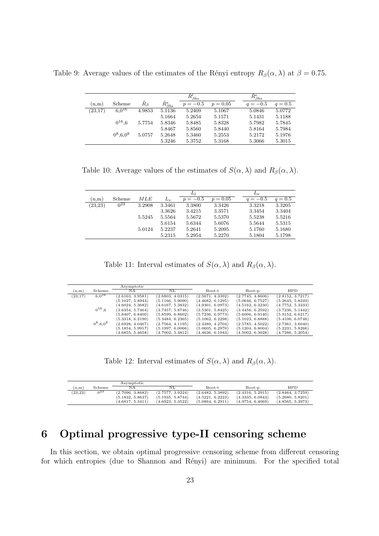Table 9: Average values of the estimates of the Rényi entropy  $R_\beta(\alpha, \lambda)$  at  $\beta = 0.75$ .

|         |              |             |                        | $\widehat{R}_{\beta bs}^l$ |            | $\hat{R}^e_{\beta bs}$ |           |
|---------|--------------|-------------|------------------------|----------------------------|------------|------------------------|-----------|
| (n,m)   | Scheme       | $R_{\beta}$ | $\hat{R}^s_{\beta bs}$ | $p = -0.5$                 | $p = 0.05$ | $q = -0.5$             | $q = 0.5$ |
| (23,17) | $6.0^{16}$   | 4.9853      | 5.1136                 | 5.2409                     | 5.1067     | 5.0846                 | 5.0772    |
|         |              |             | 5.1664                 | 5.2654                     | 5.1571     | 5.1431                 | 5.1188    |
|         | $0^{16}.6$   | 5.7754      | 5.8346                 | 5.8485                     | 5.8328     | 5.7982                 | 5.7845    |
|         |              |             | 5.8467                 | 5.8560                     | 5.8440     | 5.8164                 | 5.7984    |
|         | $0^8, 6.0^8$ | 5.0757      | 5.2648                 | 5.3460                     | 5.2553     | 5.2172                 | 5.1976    |
|         |              |             | 5.3246                 | 5.3752                     | 5.3168     | 5.3066                 | 5.3015    |

Table 10: Average values of the estimates of  $S(\alpha, \lambda)$  and  $R_\beta(\alpha, \lambda)$ .

|          |          |        |         | Lι         |            | $L_{e}$    |           |
|----------|----------|--------|---------|------------|------------|------------|-----------|
| (n,m)    | Scheme   | MLE    | $L_{s}$ | $p = -0.5$ | $p = 0.05$ | $q = -0.5$ | $q = 0.5$ |
| (23, 23) | $0^{23}$ | 3.2908 | 3.3461  | 3.3800     | 3.3426     | 3.3218     | 3.3205    |
|          |          |        | 3.3626  | 3.4215     | 3.3571     | 3.3454     | 3.3404    |
|          |          | 5.5245 | 5.5564  | 5.5672     | 5.5370     | 5.5238     | 5.5216    |
|          |          |        | 5.6154  | 5.6344     | 5.6076     | 5.5644     | 5.5315    |
|          |          | 5.0124 | 5.2237  | 5.2641     | 5.2095     | 5.1760     | 5.1680    |
|          |          |        | 5.2315  | 5.2954     | 5.2270     | 5.1804     | 5.1798    |

Table 11: Interval estimates of  $S(\alpha, \lambda)$  and  $R_\beta(\alpha, \lambda)$ .

|          |               | Asymptotic       |                  |                  |                  |                  |
|----------|---------------|------------------|------------------|------------------|------------------|------------------|
| (n,m)    | Scheme        | NΑ               | NL               | Boot-t           | Boot-p           | HPD              |
| (23, 17) | $6.0^{16}$    | (2.6163, 3.9581) | (2.6803, 4.0315) | (2.5671, 4.3392) | (2.7745, 4.8606) | (2.8152, 3.7217) |
|          |               | (5.1027, 5.8944) | (5.1166, 5.9090) | (4.4682, 6.1295) | (5.0646, 6.7527) | (5.2645, 5.8249) |
|          |               | (4.6024, 5.3682) | (4.6167, 5.3832) | (4.9301, 6.0973) | (4.5162, 6.3230) | (4.7752, 5.3333) |
|          | $0^{16}$ .6   | (3.6354, 5.7464) | (3.7457, 5.8746) | (3.5301, 5.8425) | (3.4456, 6.2592) | (3.7236, 5.1442) |
|          |               | (5.8407, 6.8400) | (5.8599, 6.8602) | (5.7236, 6.9773) | (5.6006, 6.9140) | (5.9152, 6.6217) |
|          |               | (5.3318, 6.2190) | (5.3484, 6.2365) | (5.1062, 6.2298) | (5.1023, 6.8888) | (5.4106, 6.0746) |
|          | $0^8, 6, 0^8$ | (2.6928, 4.0467) | (2.7564, 4.1195) | (2.4380, 4.2704) | (2.5785, 4.5022) | (2.7361, 3.6040) |
|          |               | (5.1854, 5.9917) | (5.1997, 6.0066) | (5.0605, 6.2970) | (5.1204, 6.8004) | (5.2231, 5.8266) |
|          |               | (4.6855, 5.4658) | (4.7002, 5.4812) | (4.4636, 6.1943) | (4.5002, 6.3028) | (4.7286, 5.3054) |

Table 12: Interval estimates of  $S(\alpha, \lambda)$  and  $R_\beta(\alpha, \lambda)$ .

|          |                 | Asymptotic       |                  |                  |                  |                  |
|----------|-----------------|------------------|------------------|------------------|------------------|------------------|
| (n.m)    | Scheme          | NΑ               | NL               | Boot-t           | Boot-p           | <b>HPD</b>       |
| (23, 23) | 0 <sup>23</sup> | (2.7096, 3.8682) | (2.7577, 3.9224) | (2.6482, 5.3892) | (2.4316, 5.2915) | (2.8464, 3.7259) |
|          |                 | (5.1832, 5.8637) | (5.1935, 5.8744) | (4.5221, 6.2223) | (4.3335, 6.0943) | (5.2680, 5.8201) |
|          |                 | (4.6817, 5.3411) | (4.6923, 5.3522) | (5.0864, 6.2911) | (4.9754, 6.4069) | (4.8565, 5.3973) |

## **6 Optimal progressive type-II censoring scheme**

In this section, we obtain optimal progressive censoring scheme from different censoring for which entropies (due to Shannon and Rényi) are minimum. For the specified total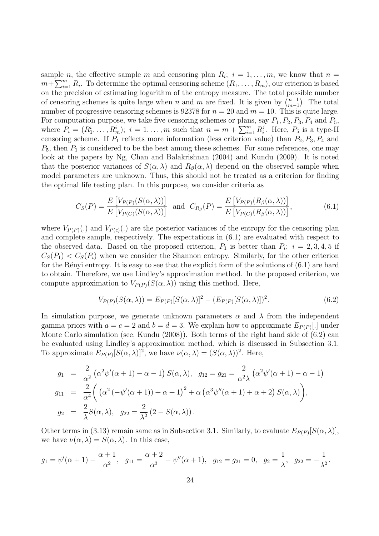sample *n*, the effective sample *m* and censoring plan  $R_i$ ;  $i = 1, \ldots, m$ , we know that  $n =$  $m + \sum_{i=1}^{m} R_i$ . To determine the optimal censoring scheme  $(R_1, \ldots, R_m)$ , our criterion is based on the precision of estimating logarithm of the entropy measure. The total possible number of censoring schemes is quite large when *n* and *m* are fixed. It is given by  $\binom{n-1}{m-1}$ *m−*1 ) . The total number of progressive censoring schemes is 92378 for  $n = 20$  and  $m = 10$ . This is quite large. For computation purpose, we take five censoring schemes or plans, say  $P_1$ ,  $P_2$ ,  $P_3$ ,  $P_4$  and  $P_5$ , where  $P_i = (R_1^i, \ldots, R_m^i); i = 1, \ldots, m$  such that  $n = m + \sum_{i=1}^m R_i^j$  $i<sup>j</sup>$ . Here,  $P_5$  is a type-II censoring scheme. If  $P_1$  reflects more information (less criterion value) than  $P_2, P_3, P_4$  and *P*5, then *P*<sup>1</sup> is considered to be the best among these schemes. For some references, one may look at the papers by Ng, Chan and Balakrishnan (2004) and Kundu (2009). It is noted that the posterior variances of  $S(\alpha, \lambda)$  and  $R_\beta(\alpha, \lambda)$  depend on the observed sample when model parameters are unknown. Thus, this should not be treated as a criterion for finding the optimal life testing plan. In this purpose, we consider criteria as

$$
C_S(P) = \frac{E\left[V_{P(P)}(S(\alpha,\lambda))\right]}{E\left[V_{P(C)}(S(\alpha,\lambda))\right]} \text{ and } C_{R_\beta}(P) = \frac{E\left[V_{P(P)}(R_\beta(\alpha,\lambda))\right]}{E\left[V_{P(C)}(R_\beta(\alpha,\lambda))\right]},\tag{6.1}
$$

where  $V_{P(P)}(.)$  and  $V_{P(c)}(.)$  are the posterior variances of the entropy for the censoring plan and complete sample, respectively. The expectations in (6.1) are evaluated with respect to the observed data. Based on the proposed criterion,  $P_1$  is better than  $P_i$ ;  $i = 2, 3, 4, 5$  if  $C_S(P_1) < C_S(P_i)$  when we consider the Shannon entropy. Similarly, for the other criterion for the R´enyi entropy. It is easy to see that the explicit form of the solutions of (6*.*1) are hard to obtain. Therefore, we use Lindley's approximation method. In the proposed criterion, we compute approximation to  $V_{P(P)}(S(\alpha, \lambda))$  using this method. Here,

$$
V_{P(P)}(S(\alpha,\lambda)) = E_{P(P)}[S(\alpha,\lambda)]^2 - (E_{P(P)}[S(\alpha,\lambda)])^2.
$$
 (6.2)

In simulation purpose, we generate unknown parameters  $\alpha$  and  $\lambda$  from the independent gamma priors with  $a = c = 2$  and  $b = d = 3$ . We explain how to approximate  $E_{P(P)}[.]$  under Monte Carlo simulation (see, Kundu (2008)). Both terms of the right hand side of (6.2) can be evaluated using Lindley's approximation method, which is discussed in Subsection 3*.*1. To approximate  $E_{P(P)}[S(\alpha,\lambda)]^2$ , we have  $\nu(\alpha,\lambda) = (S(\alpha,\lambda))^2$ . Here,

$$
g_1 = \frac{2}{\alpha^2} (\alpha^2 \psi'(\alpha + 1) - \alpha - 1) S(\alpha, \lambda), \quad g_{12} = g_{21} = \frac{2}{\alpha^2 \lambda} (\alpha^2 \psi'(\alpha + 1) - \alpha - 1)
$$
  
\n
$$
g_{11} = \frac{2}{\alpha^4} \left( (\alpha^2 (-\psi'(\alpha + 1)) + \alpha + 1)^2 + \alpha (\alpha^3 \psi''(\alpha + 1) + \alpha + 2) S(\alpha, \lambda) \right),
$$
  
\n
$$
g_2 = \frac{2}{\lambda} S(\alpha, \lambda), \quad g_{22} = \frac{2}{\lambda^2} (2 - S(\alpha, \lambda)).
$$

Other terms in (3.13) remain same as in Subsection 3.1. Similarly, to evaluate  $E_{P(P)}[S(\alpha,\lambda)],$ we have  $\nu(\alpha, \lambda) = S(\alpha, \lambda)$ . In this case,

$$
g_1 = \psi'(\alpha + 1) - \frac{\alpha + 1}{\alpha^2}
$$
,  $g_{11} = \frac{\alpha + 2}{\alpha^3} + \psi''(\alpha + 1)$ ,  $g_{12} = g_{21} = 0$ ,  $g_2 = \frac{1}{\lambda}$ ,  $g_{22} = -\frac{1}{\lambda^2}$ .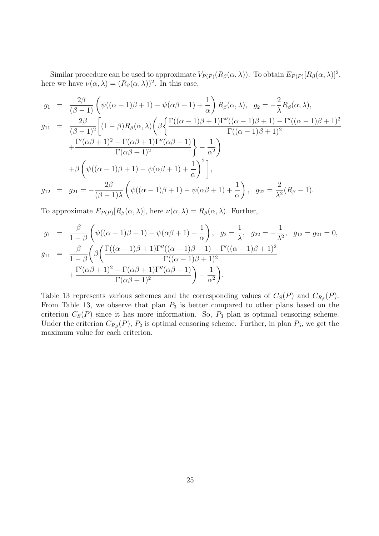Similar procedure can be used to approximate  $V_{P(P)}(R_\beta(\alpha,\lambda))$ . To obtain  $E_{P(P)}[R_\beta(\alpha,\lambda)]^2$ , here we have  $\nu(\alpha, \lambda) = (R_\beta(\alpha, \lambda))^2$ . In this case,

$$
g_1 = \frac{2\beta}{(\beta - 1)} \left( \psi((\alpha - 1)\beta + 1) - \psi(\alpha\beta + 1) + \frac{1}{\alpha} \right) R_{\beta}(\alpha, \lambda), \quad g_2 = -\frac{2}{\lambda} R_{\beta}(\alpha, \lambda),
$$
  
\n
$$
g_{11} = \frac{2\beta}{(\beta - 1)^2} \left[ (1 - \beta) R_{\beta}(\alpha, \lambda) \left( \beta \left\{ \frac{\Gamma((\alpha - 1)\beta + 1)\Gamma''((\alpha - 1)\beta + 1) - \Gamma'((\alpha - 1)\beta + 1)^2}{\Gamma((\alpha - 1)\beta + 1)^2} + \frac{\Gamma'(\alpha\beta + 1)^2 - \Gamma(\alpha\beta + 1)\Gamma''(\alpha\beta + 1)}{\Gamma(\alpha\beta + 1)^2} \right\} - \frac{1}{\alpha^2} \right)
$$
  
\n
$$
+ \beta \left( \psi((\alpha - 1)\beta + 1) - \psi(\alpha\beta + 1) + \frac{1}{\alpha} \right)^2 \bigg],
$$
  
\n
$$
g_{12} = g_{21} = -\frac{2\beta}{(\beta - 1)\lambda} \left( \psi((\alpha - 1)\beta + 1) - \psi(\alpha\beta + 1) + \frac{1}{\alpha} \right), \quad g_{22} = \frac{2}{\lambda^2} (R_{\beta} - 1).
$$

To approximate  $E_{P(P)}[R_\beta(\alpha,\lambda)]$ , here  $\nu(\alpha,\lambda) = R_\beta(\alpha,\lambda)$ . Further,

$$
g_1 = \frac{\beta}{1-\beta} \left( \psi((\alpha-1)\beta+1) - \psi(\alpha\beta+1) + \frac{1}{\alpha} \right), \quad g_2 = \frac{1}{\lambda}, \quad g_{22} = -\frac{1}{\lambda^2}, \quad g_{12} = g_{21} = 0,
$$
  

$$
g_{11} = \frac{\beta}{1-\beta} \left( \beta \left( \frac{\Gamma((\alpha-1)\beta+1)\Gamma''((\alpha-1)\beta+1) - \Gamma'((\alpha-1)\beta+1)^2}{\Gamma((\alpha-1)\beta+1)^2} + \frac{\Gamma'(\alpha\beta+1)^2 - \Gamma(\alpha\beta+1)\Gamma''(\alpha\beta+1)}{\Gamma(\alpha\beta+1)^2} \right) - \frac{1}{\alpha^2} \right).
$$

Table 13 represents various schemes and the corresponding values of  $C_S(P)$  and  $C_{R_\beta}(P)$ . From Table 13, we observe that plan  $P_3$  is better compared to other plans based on the criterion  $C<sub>S</sub>(P)$  since it has more information. So,  $P<sub>3</sub>$  plan is optimal censoring scheme. Under the criterion  $C_{R_\beta}(P)$ ,  $P_2$  is optimal censoring scheme. Further, in plan  $P_5$ , we get the maximum value for each criterion.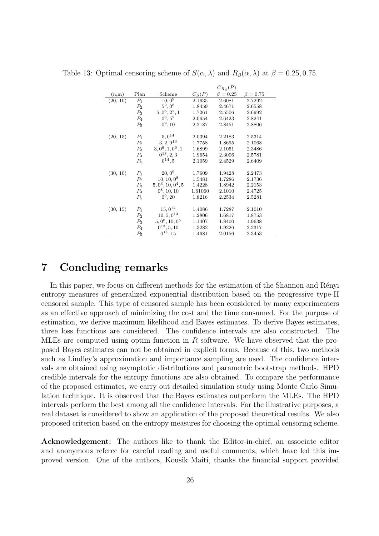|          |                |                      |          | $C_{R_\beta}(P)$ |                |
|----------|----------------|----------------------|----------|------------------|----------------|
| (n,m)    | Plan           | Scheme               | $C_S(P)$ | $\beta = 0.25$   | $\beta = 0.75$ |
| (20, 10) | $P_1$          | $10,0^{9}$           | 2.1635   | 2.6081           | 2.7292         |
|          | P <sub>2</sub> | $5^2,0^8$            | 1.8459   | 2.4671           | 2.6558         |
|          | $P_3$          | $5,0^6,2^2,1$        | 1.7261   | 2.5506           | 2.6992         |
|          | $P_4$          | $0^8, 5^2$           | 2.0654   | 2.6423           | 2.8241         |
|          | $P_5$          | $0^9, 10$            | 2.2187   | 2.8451           | 2.8806         |
|          |                | $5,0^{14}$           | 2.0394   | 2.2183           | 2.5314         |
| (20, 15) | $P_1$          | $3, 2, 0^{13}$       | 1.7758   | 1.8695           | 2.1068         |
|          | $P_2$<br>$P_3$ | $3, 0^6, 1, 0^6, 1$  | 1.6899   | 2.1051           | 2.3486         |
|          | $P_4$          | $0^{13}, 2, 3$       | 1.9654   | 2.3006           | 2.5781         |
|          |                | $0^{14}, 5$          |          |                  |                |
|          | $P_5$          |                      | 2.1059   | 2.4529           | 2.6409         |
| (30, 10) | $P_1$          | $20,0^9$             | 1.7609   | 1.9428           | 2.2473         |
|          | $P_2$          | $10, 10, 0^8$        | 1.5481   | 1.7286           | 2.1736         |
|          | $P_3$          | $5, 0^3, 10, 0^4, 5$ | 1.4228   | 1.8942           | 2.2153         |
|          | $P_4$          | $0^8, 10, 10$        | 1.61060  | 2.1010           | 2.4725         |
|          | $P_5$          | $0^9, 20$            | 1.8216   | 2.2534           | 2.5281         |
|          |                |                      |          |                  |                |
| (30, 15) | $P_1$          | $15,0^{14}$          | 1.4086   | 1.7287           | 2.1010         |
|          | P <sub>2</sub> | $10, 5, 0^{13}$      | 1.2806   | 1.6817           | 1.8753         |
|          | $P_3$          | $5, 0^8, 10, 0^5$    | 1.1407   | 1.8400           | 1.9638         |
|          | $P_4$          | $0^{13}, 5, 10$      | 1.3282   | 1.9226           | 2.2317         |
|          | $P_5$          | $0^{14}, 15$         | 1.4681   | 2.0156           | 2.3453         |

Table 13: Optimal censoring scheme of  $S(\alpha, \lambda)$  and  $R_\beta(\alpha, \lambda)$  at  $\beta = 0.25, 0.75$ .

## **7 Concluding remarks**

In this paper, we focus on different methods for the estimation of the Shannon and Rényi entropy measures of generalized exponential distribution based on the progressive type-II censored sample. This type of censored sample has been considered by many experimenters as an effective approach of minimizing the cost and the time consumed. For the purpose of estimation, we derive maximum likelihood and Bayes estimates. To derive Bayes estimates, three loss functions are considered. The confidence intervals are also constructed. The MLEs are computed using optim function in *R* software. We have observed that the proposed Bayes estimates can not be obtained in explicit forms. Because of this, two methods such as Lindley's approximation and importance sampling are used. The confidence intervals are obtained using asymptotic distributions and parametric bootstrap methods. HPD credible intervals for the entropy functions are also obtained. To compare the performance of the proposed estimates, we carry out detailed simulation study using Monte Carlo Simulation technique. It is observed that the Bayes estimates outperform the MLEs. The HPD intervals perform the best among all the confidence intervals. For the illustrative purposes, a real dataset is considered to show an application of the proposed theoretical results. We also proposed criterion based on the entropy measures for choosing the optimal censoring scheme.

**Acknowledgement:** The authors like to thank the Editor-in-chief, an associate editor and anonymous referee for careful reading and useful comments, which have led this improved version. One of the authors, Kousik Maiti, thanks the financial support provided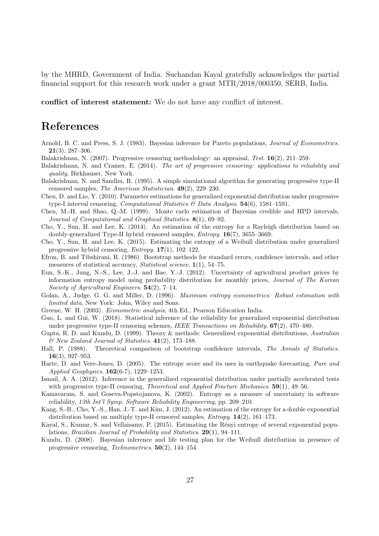by the MHRD, Government of India. Suchandan Kayal gratefully acknowledges the partial financial support for this research work under a grant MTR/2018/000350, SERB, India.

**conflict of interest statement:** We do not have any conflict of interest.

## **References**

- Arnold, B. C. and Press, S. J. (1983). Bayesian inference for Pareto populations, *Journal of Econometrics*. **21**(3), 287–306.
- Balakrishnan, N. (2007). Progressive censoring methodology: an appraisal, *Test*. **16**(2), 211–259.
- Balakrishnan, N. and Cramer, E. (2014). *The art of progressive censoring: applications to reliability and quality*, Birkhauser, New York.
- Balakrishnan, N. and Sandhu, R. (1995). A simple simulational algorithm for generating progressive type-II censored samples, *The American Statistician*. **49**(2), 229–230.
- Chen, D. and Lio, Y. (2010). Parameter estimations for generalized exponential distribution under progressive type-I interval censoring, *Computational Statistics & Data Analysis*. **54**(6), 1581–1591.
- Chen, M.-H. and Shao, Q.-M. (1999). Monte carlo estimation of Bayesian credible and HPD intervals, *Journal of Computational and Graphical Statistics*. **8**(1), 69–92.
- Cho, Y., Sun, H. and Lee, K. (2014). An estimation of the entropy for a Rayleigh distribution based on doubly-generalized Type-II hybrid censored samples, *Entropy*. **16**(7), 3655–3669.
- Cho, Y., Sun, H. and Lee, K. (2015). Estimating the entropy of a Weibull distribution under generalized progressive hybrid censoring, *Entropy*. **17**(1), 102–122.
- Efron, B. and Tibshirani, R. (1986). Bootstrap methods for standard errors, confidence intervals, and other measures of statistical accuracy, *Statistical science*. **1**(1), 54–75.
- Eun, S.-K., Jung, N.-S., Lee, J.-J. and Bae, Y.-J. (2012). Uncertainty of agricultural product prices by information entropy model using probability distribution for monthly prices, *Journal of The Korean Society of Agricultural Engineers*. **54**(2), 7–14.
- Golan, A., Judge, G. G. and Miller, D. (1996). *Maximum entropy econometrics: Robust estimation with limited data*, New York: John, Wiley and Sons.
- Greene, W. H. (2003). *Econometric analysis*, 4th Ed., Pearson Education India.
- Guo, L. and Gui, W. (2018). Statistical inference of the reliability for generalized exponential distribution under progressive type-II censoring schemes, *IEEE Transactions on Reliability*. **67**(2), 470–480.
- Gupta, R. D. and Kundu, D. (1999). Theory & methods: Generalized exponential distributions, *Australian & New Zealand Journal of Statistics*. **41**(2), 173–188.
- Hall, P. (1988). Theoretical comparison of bootstrap confidence intervals, *The Annals of Statistics*. **16**(3), 927–953.
- Harte, D. and Vere-Jones, D. (2005). The entropy score and its uses in earthquake forecasting, *Pure and Applied Geophysics*. **162**(6-7), 1229–1253.
- Ismail, A. A. (2012). Inference in the generalized exponential distribution under partially accelerated tests with progressive type-II censoring, *Theoretical and Applied Fracture Mechanics*. **59**(1), 49–56.
- Kamavaram, S. and Goseva-Popstojanova, K. (2002). Entropy as a measure of uncertainty in software reliability, *13th Int'l Symp. Software Reliability Engineering*, pp. 209–210.
- Kang, S.-B., Cho, Y.-S., Han, J.-T. and Kim, J. (2012). An estimation of the entropy for a double exponential distribution based on multiply type-II censored samples, *Entropy*. **14**(2), 161–173.
- Kayal, S., Kumar, S. and Vellaisamy, P. (2015). Estimating the Rényi entropy of several exponential populations, *Brazilian Journal of Probability and Statistics*. **29**(1), 94–111.
- Kundu, D. (2008). Bayesian inference and life testing plan for the Weibull distribution in presence of progressive censoring, *Technometrics*. **50**(2), 144–154.